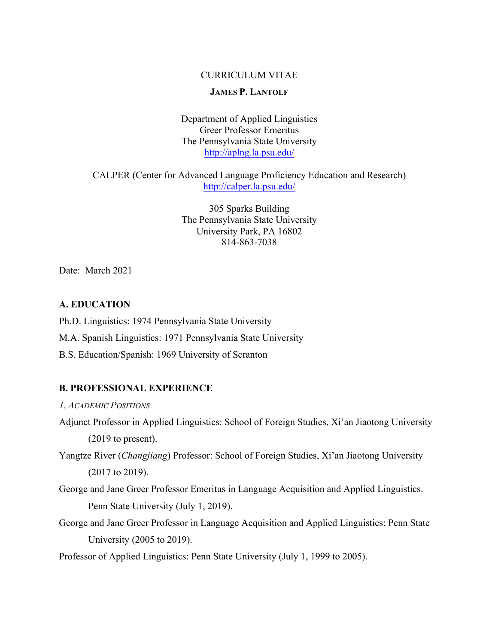# CURRICULUM VITAE

## **JAMES P. LANTOLF**

Department of Applied Linguistics Greer Professor Emeritus The Pennsylvania State University http://aplng.la.psu.edu/

CALPER (Center for Advanced Language Proficiency Education and Research) http://calper.la.psu.edu/

> 305 Sparks Building The Pennsylvania State University University Park, PA 16802 814-863-7038

Date: March 2021

# **A. EDUCATION**

Ph.D. Linguistics: 1974 Pennsylvania State University

- M.A. Spanish Linguistics: 1971 Pennsylvania State University
- B.S. Education/Spanish: 1969 University of Scranton

### **B. PROFESSIONAL EXPERIENCE**

*1. ACADEMIC POSITIONS*

- Adjunct Professor in Applied Linguistics: School of Foreign Studies, Xi'an Jiaotong University (2019 to present).
- Yangtze River (*Changjiang*) Professor: School of Foreign Studies, Xi'an Jiaotong University (2017 to 2019).
- George and Jane Greer Professor Emeritus in Language Acquisition and Applied Linguistics. Penn State University (July 1, 2019).
- George and Jane Greer Professor in Language Acquisition and Applied Linguistics: Penn State University (2005 to 2019).
- Professor of Applied Linguistics: Penn State University (July 1, 1999 to 2005).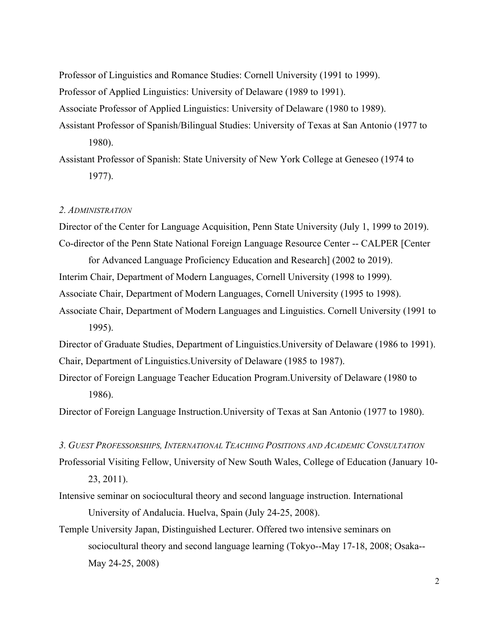Professor of Linguistics and Romance Studies: Cornell University (1991 to 1999).

Professor of Applied Linguistics: University of Delaware (1989 to 1991).

Associate Professor of Applied Linguistics: University of Delaware (1980 to 1989).

Assistant Professor of Spanish/Bilingual Studies: University of Texas at San Antonio (1977 to 1980).

Assistant Professor of Spanish: State University of New York College at Geneseo (1974 to 1977).

#### *2. ADMINISTRATION*

Director of the Center for Language Acquisition, Penn State University (July 1, 1999 to 2019). Co-director of the Penn State National Foreign Language Resource Center -- CALPER [Center

for Advanced Language Proficiency Education and Research] (2002 to 2019).

Interim Chair, Department of Modern Languages, Cornell University (1998 to 1999).

Associate Chair, Department of Modern Languages, Cornell University (1995 to 1998).

Associate Chair, Department of Modern Languages and Linguistics. Cornell University (1991 to 1995).

Director of Graduate Studies, Department of Linguistics.University of Delaware (1986 to 1991). Chair, Department of Linguistics.University of Delaware (1985 to 1987).

Director of Foreign Language Teacher Education Program.University of Delaware (1980 to 1986).

Director of Foreign Language Instruction.University of Texas at San Antonio (1977 to 1980).

*3. GUEST PROFESSORSHIPS, INTERNATIONAL TEACHING POSITIONS AND ACADEMIC CONSULTATION*

Professorial Visiting Fellow, University of New South Wales, College of Education (January 10- 23, 2011).

- Intensive seminar on sociocultural theory and second language instruction. International University of Andalucia. Huelva, Spain (July 24-25, 2008).
- Temple University Japan, Distinguished Lecturer. Offered two intensive seminars on sociocultural theory and second language learning (Tokyo--May 17-18, 2008; Osaka-- May 24-25, 2008)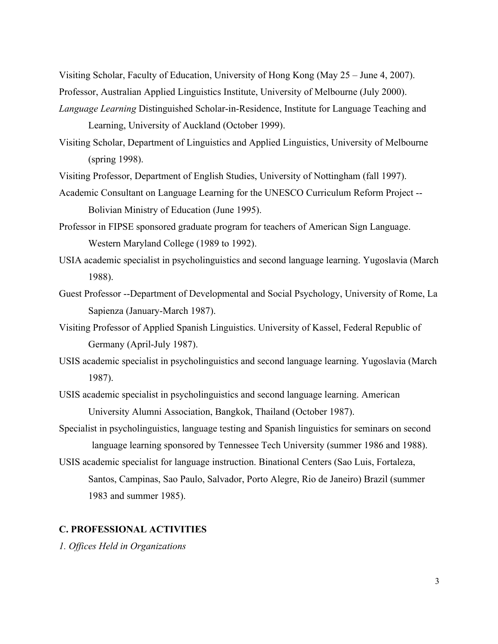Visiting Scholar, Faculty of Education, University of Hong Kong (May 25 – June 4, 2007). Professor, Australian Applied Linguistics Institute, University of Melbourne (July 2000).

- *Language Learning* Distinguished Scholar-in-Residence, Institute for Language Teaching and Learning, University of Auckland (October 1999).
- Visiting Scholar, Department of Linguistics and Applied Linguistics, University of Melbourne (spring 1998).
- Visiting Professor, Department of English Studies, University of Nottingham (fall 1997).
- Academic Consultant on Language Learning for the UNESCO Curriculum Reform Project -- Bolivian Ministry of Education (June 1995).
- Professor in FIPSE sponsored graduate program for teachers of American Sign Language. Western Maryland College (1989 to 1992).
- USIA academic specialist in psycholinguistics and second language learning. Yugoslavia (March 1988).
- Guest Professor --Department of Developmental and Social Psychology, University of Rome, La Sapienza (January-March 1987).
- Visiting Professor of Applied Spanish Linguistics. University of Kassel, Federal Republic of Germany (April-July 1987).
- USIS academic specialist in psycholinguistics and second language learning. Yugoslavia (March 1987).
- USIS academic specialist in psycholinguistics and second language learning. American University Alumni Association, Bangkok, Thailand (October 1987).
- Specialist in psycholinguistics, language testing and Spanish linguistics for seminars on second language learning sponsored by Tennessee Tech University (summer 1986 and 1988).
- USIS academic specialist for language instruction. Binational Centers (Sao Luis, Fortaleza, Santos, Campinas, Sao Paulo, Salvador, Porto Alegre, Rio de Janeiro) Brazil (summer 1983 and summer 1985).

## **C. PROFESSIONAL ACTIVITIES**

*1. Offices Held in Organizations*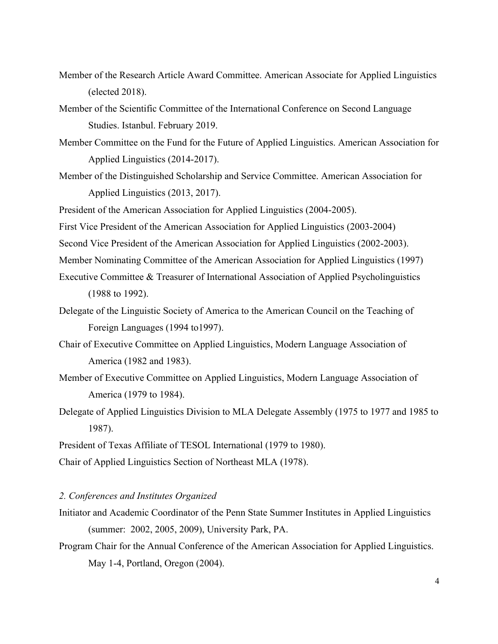- Member of the Research Article Award Committee. American Associate for Applied Linguistics (elected 2018).
- Member of the Scientific Committee of the International Conference on Second Language Studies. Istanbul. February 2019.
- Member Committee on the Fund for the Future of Applied Linguistics. American Association for Applied Linguistics (2014-2017).
- Member of the Distinguished Scholarship and Service Committee. American Association for Applied Linguistics (2013, 2017).

President of the American Association for Applied Linguistics (2004-2005).

- First Vice President of the American Association for Applied Linguistics (2003-2004)
- Second Vice President of the American Association for Applied Linguistics (2002-2003).

Member Nominating Committee of the American Association for Applied Linguistics (1997)

- Executive Committee & Treasurer of International Association of Applied Psycholinguistics (1988 to 1992).
- Delegate of the Linguistic Society of America to the American Council on the Teaching of Foreign Languages (1994 to1997).
- Chair of Executive Committee on Applied Linguistics, Modern Language Association of America (1982 and 1983).
- Member of Executive Committee on Applied Linguistics, Modern Language Association of America (1979 to 1984).
- Delegate of Applied Linguistics Division to MLA Delegate Assembly (1975 to 1977 and 1985 to 1987).

Chair of Applied Linguistics Section of Northeast MLA (1978).

### *2. Conferences and Institutes Organized*

- Initiator and Academic Coordinator of the Penn State Summer Institutes in Applied Linguistics (summer: 2002, 2005, 2009), University Park, PA.
- Program Chair for the Annual Conference of the American Association for Applied Linguistics. May 1-4, Portland, Oregon (2004).

President of Texas Affiliate of TESOL International (1979 to 1980).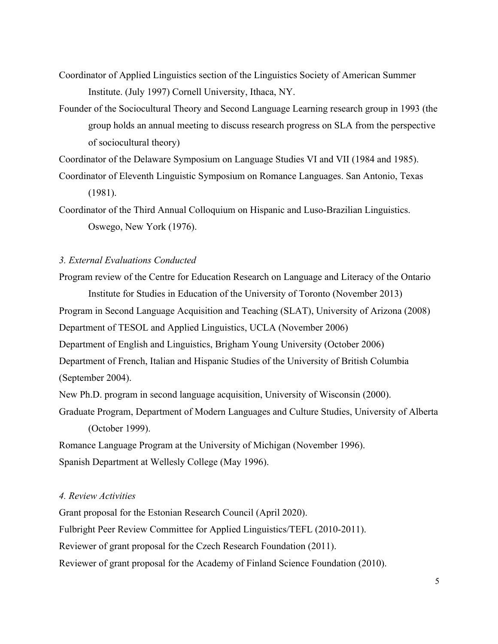Coordinator of Applied Linguistics section of the Linguistics Society of American Summer Institute. (July 1997) Cornell University, Ithaca, NY.

Founder of the Sociocultural Theory and Second Language Learning research group in 1993 (the group holds an annual meeting to discuss research progress on SLA from the perspective of sociocultural theory)

Coordinator of the Delaware Symposium on Language Studies VI and VII (1984 and 1985).

Coordinator of Eleventh Linguistic Symposium on Romance Languages. San Antonio, Texas (1981).

Coordinator of the Third Annual Colloquium on Hispanic and Luso-Brazilian Linguistics. Oswego, New York (1976).

## *3. External Evaluations Conducted*

Program review of the Centre for Education Research on Language and Literacy of the Ontario Institute for Studies in Education of the University of Toronto (November 2013) Program in Second Language Acquisition and Teaching (SLAT), University of Arizona (2008) Department of TESOL and Applied Linguistics, UCLA (November 2006) Department of English and Linguistics, Brigham Young University (October 2006) Department of French, Italian and Hispanic Studies of the University of British Columbia (September 2004). New Ph.D. program in second language acquisition, University of Wisconsin (2000).

Graduate Program, Department of Modern Languages and Culture Studies, University of Alberta (October 1999).

Romance Language Program at the University of Michigan (November 1996). Spanish Department at Wellesly College (May 1996).

## *4. Review Activities*

Grant proposal for the Estonian Research Council (April 2020). Fulbright Peer Review Committee for Applied Linguistics/TEFL (2010-2011). Reviewer of grant proposal for the Czech Research Foundation (2011). Reviewer of grant proposal for the Academy of Finland Science Foundation (2010).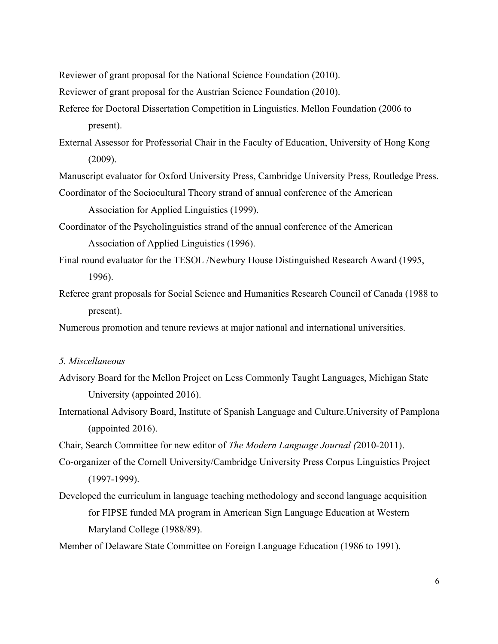Reviewer of grant proposal for the National Science Foundation (2010).

Reviewer of grant proposal for the Austrian Science Foundation (2010).

- Referee for Doctoral Dissertation Competition in Linguistics. Mellon Foundation (2006 to present).
- External Assessor for Professorial Chair in the Faculty of Education, University of Hong Kong (2009).

Manuscript evaluator for Oxford University Press, Cambridge University Press, Routledge Press.

- Coordinator of the Sociocultural Theory strand of annual conference of the American Association for Applied Linguistics (1999).
- Coordinator of the Psycholinguistics strand of the annual conference of the American Association of Applied Linguistics (1996).
- Final round evaluator for the TESOL /Newbury House Distinguished Research Award (1995, 1996).
- Referee grant proposals for Social Science and Humanities Research Council of Canada (1988 to present).

Numerous promotion and tenure reviews at major national and international universities.

### *5. Miscellaneous*

- Advisory Board for the Mellon Project on Less Commonly Taught Languages, Michigan State University (appointed 2016).
- International Advisory Board, Institute of Spanish Language and Culture.University of Pamplona (appointed 2016).

Chair, Search Committee for new editor of *The Modern Language Journal (*2010-2011).

- Co-organizer of the Cornell University/Cambridge University Press Corpus Linguistics Project (1997-1999).
- Developed the curriculum in language teaching methodology and second language acquisition for FIPSE funded MA program in American Sign Language Education at Western Maryland College (1988/89).

Member of Delaware State Committee on Foreign Language Education (1986 to 1991).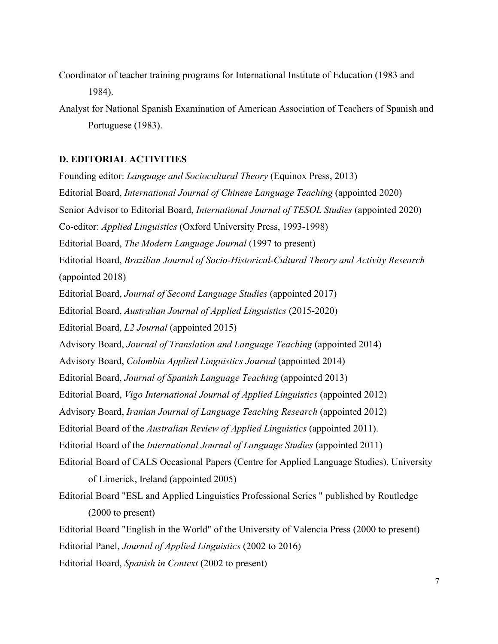Coordinator of teacher training programs for International Institute of Education (1983 and 1984).

Analyst for National Spanish Examination of American Association of Teachers of Spanish and Portuguese (1983).

# **D. EDITORIAL ACTIVITIES**

Founding editor: *Language and Sociocultural Theory* (Equinox Press, 2013) Editorial Board, *International Journal of Chinese Language Teaching* (appointed 2020) Senior Advisor to Editorial Board, *International Journal of TESOL Studies* (appointed 2020) Co-editor: *Applied Linguistics* (Oxford University Press, 1993-1998) Editorial Board, *The Modern Language Journal* (1997 to present) Editorial Board, *Brazilian Journal of Socio-Historical-Cultural Theory and Activity Research* (appointed 2018) Editorial Board, *Journal of Second Language Studies* (appointed 2017) Editorial Board, *Australian Journal of Applied Linguistics* (2015-2020) Editorial Board, *L2 Journal* (appointed 2015) Advisory Board, *Journal of Translation and Language Teaching* (appointed 2014) Advisory Board, *Colombia Applied Linguistics Journal* (appointed 2014) Editorial Board, *Journal of Spanish Language Teaching* (appointed 2013) Editorial Board, *Vigo International Journal of Applied Linguistics* (appointed 2012) Advisory Board, *Iranian Journal of Language Teaching Research* (appointed 2012) Editorial Board of the *Australian Review of Applied Linguistics* (appointed 2011). Editorial Board of the *International Journal of Language Studies* (appointed 2011) Editorial Board of CALS Occasional Papers (Centre for Applied Language Studies), University of Limerick, Ireland (appointed 2005) Editorial Board "ESL and Applied Linguistics Professional Series " published by Routledge (2000 to present) Editorial Board "English in the World" of the University of Valencia Press (2000 to present) Editorial Panel, *Journal of Applied Linguistics* (2002 to 2016)

Editorial Board, *Spanish in Context* (2002 to present)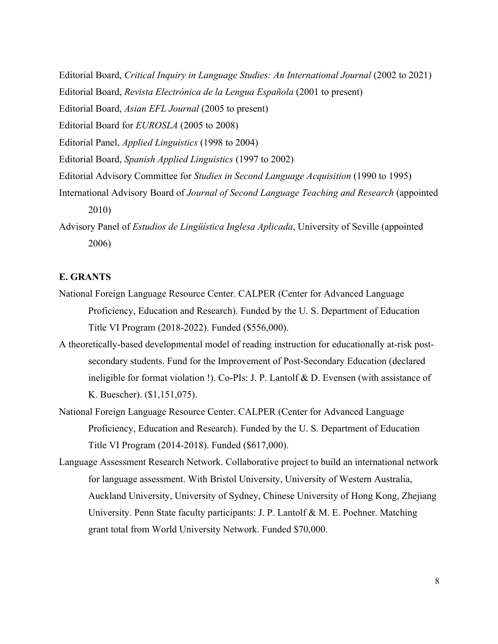- Editorial Board, *Critical Inquiry in Language Studies: An International Journal* (2002 to 2021)
- Editorial Board, *Revista Electrónica de la Lengua Española* (2001 to present)
- Editorial Board, *Asian EFL Journal* (2005 to present)
- Editorial Board for *EUROSLA* (2005 to 2008)
- Editorial Panel, *Applied Linguistics* (1998 to 2004)
- Editorial Board, *Spanish Applied Linguistics* (1997 to 2002)
- Editorial Advisory Committee for *Studies in Second Language Acquisition* (1990 to 1995)
- International Advisory Board of *Journal of Second Language Teaching and Research* (appointed 2010)
- Advisory Panel of *Estudios de Lingüística Inglesa Aplicada*, University of Seville (appointed 2006)

## **E. GRANTS**

- National Foreign Language Resource Center. CALPER (Center for Advanced Language Proficiency, Education and Research). Funded by the U. S. Department of Education Title VI Program (2018-2022). Funded (\$556,000).
- A theoretically-based developmental model of reading instruction for educationally at-risk postsecondary students. Fund for the Improvement of Post-Secondary Education (declared ineligible for format violation !). Co-PIs: J. P. Lantolf & D. Evensen (with assistance of K. Buescher). (\$1,151,075).
- National Foreign Language Resource Center. CALPER (Center for Advanced Language Proficiency, Education and Research). Funded by the U. S. Department of Education Title VI Program (2014-2018). Funded (\$617,000).
- Language Assessment Research Network. Collaborative project to build an international network for language assessment. With Bristol University, University of Western Australia, Auckland University, University of Sydney, Chinese University of Hong Kong, Zhejiang University. Penn State faculty participants: J. P. Lantolf & M. E. Poehner. Matching grant total from World University Network. Funded \$70,000.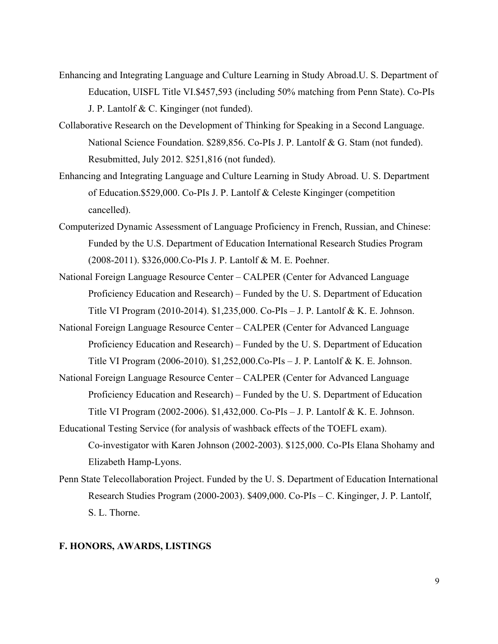- Enhancing and Integrating Language and Culture Learning in Study Abroad.U. S. Department of Education, UISFL Title VI.\$457,593 (including 50% matching from Penn State). Co-PIs J. P. Lantolf & C. Kinginger (not funded).
- Collaborative Research on the Development of Thinking for Speaking in a Second Language. National Science Foundation. \$289,856. Co-PIs J. P. Lantolf & G. Stam (not funded). Resubmitted, July 2012. \$251,816 (not funded).
- Enhancing and Integrating Language and Culture Learning in Study Abroad. U. S. Department of Education.\$529,000. Co-PIs J. P. Lantolf & Celeste Kinginger (competition cancelled).
- Computerized Dynamic Assessment of Language Proficiency in French, Russian, and Chinese: Funded by the U.S. Department of Education International Research Studies Program (2008-2011). \$326,000.Co-PIs J. P. Lantolf & M. E. Poehner.
- National Foreign Language Resource Center CALPER (Center for Advanced Language Proficiency Education and Research) – Funded by the U. S. Department of Education Title VI Program (2010-2014). \$1,235,000. Co-PIs – J. P. Lantolf & K. E. Johnson.
- National Foreign Language Resource Center CALPER (Center for Advanced Language Proficiency Education and Research) – Funded by the U. S. Department of Education Title VI Program (2006-2010). \$1,252,000.Co-PIs – J. P. Lantolf & K. E. Johnson.
- National Foreign Language Resource Center CALPER (Center for Advanced Language Proficiency Education and Research) – Funded by the U. S. Department of Education Title VI Program (2002-2006). \$1,432,000. Co-PIs – J. P. Lantolf & K. E. Johnson.
- Educational Testing Service (for analysis of washback effects of the TOEFL exam). Co-investigator with Karen Johnson (2002-2003). \$125,000. Co-PIs Elana Shohamy and Elizabeth Hamp-Lyons.
- Penn State Telecollaboration Project. Funded by the U. S. Department of Education International Research Studies Program (2000-2003). \$409,000. Co-PIs – C. Kinginger, J. P. Lantolf, S. L. Thorne.

## **F. HONORS, AWARDS, LISTINGS**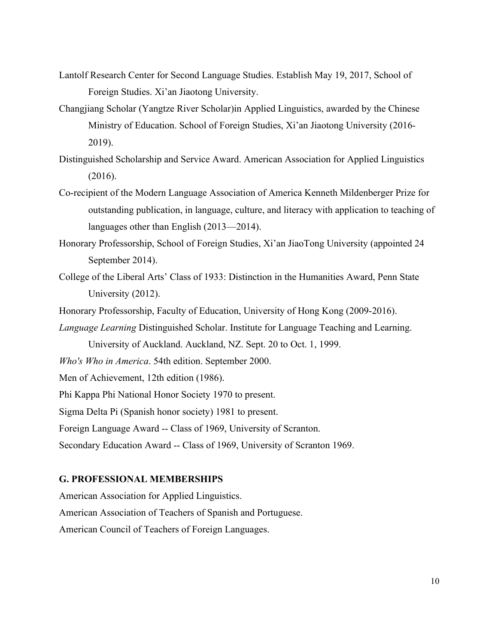- Lantolf Research Center for Second Language Studies. Establish May 19, 2017, School of Foreign Studies. Xi'an Jiaotong University.
- Changjiang Scholar (Yangtze River Scholar)in Applied Linguistics, awarded by the Chinese Ministry of Education. School of Foreign Studies, Xi'an Jiaotong University (2016- 2019).
- Distinguished Scholarship and Service Award. American Association for Applied Linguistics (2016).
- Co-recipient of the Modern Language Association of America Kenneth Mildenberger Prize for outstanding publication, in language, culture, and literacy with application to teaching of languages other than English (2013—2014).
- Honorary Professorship, School of Foreign Studies, Xi'an JiaoTong University (appointed 24 September 2014).
- College of the Liberal Arts' Class of 1933: Distinction in the Humanities Award, Penn State University (2012).
- Honorary Professorship, Faculty of Education, University of Hong Kong (2009-2016).
- *Language Learning* Distinguished Scholar. Institute for Language Teaching and Learning.

University of Auckland. Auckland, NZ. Sept. 20 to Oct. 1, 1999.

*Who's Who in America*. 54th edition. September 2000.

Men of Achievement, 12th edition (1986).

Phi Kappa Phi National Honor Society 1970 to present.

Sigma Delta Pi (Spanish honor society) 1981 to present.

Foreign Language Award -- Class of 1969, University of Scranton.

Secondary Education Award -- Class of 1969, University of Scranton 1969.

### **G. PROFESSIONAL MEMBERSHIPS**

American Association for Applied Linguistics.

American Association of Teachers of Spanish and Portuguese.

American Council of Teachers of Foreign Languages.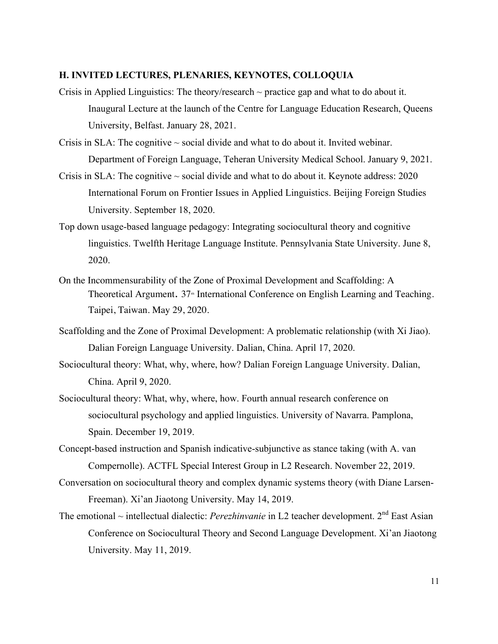#### **H. INVITED LECTURES, PLENARIES, KEYNOTES, COLLOQUIA**

- Crisis in Applied Linguistics: The theory/research  $\sim$  practice gap and what to do about it. Inaugural Lecture at the launch of the Centre for Language Education Research, Queens University, Belfast. January 28, 2021.
- Crisis in SLA: The cognitive  $\sim$  social divide and what to do about it. Invited webinar. Department of Foreign Language, Teheran University Medical School. January 9, 2021.
- Crisis in SLA: The cognitive  $\sim$  social divide and what to do about it. Keynote address: 2020 International Forum on Frontier Issues in Applied Linguistics. Beijing Foreign Studies University. September 18, 2020.
- Top down usage-based language pedagogy: Integrating sociocultural theory and cognitive linguistics. Twelfth Heritage Language Institute. Pennsylvania State University. June 8, 2020.
- On the Incommensurability of the Zone of Proximal Development and Scaffolding: A Theoretical Argument. 37<sup>th</sup> International Conference on English Learning and Teaching. Taipei, Taiwan. May 29, 2020.
- Scaffolding and the Zone of Proximal Development: A problematic relationship (with Xi Jiao). Dalian Foreign Language University. Dalian, China. April 17, 2020.
- Sociocultural theory: What, why, where, how? Dalian Foreign Language University. Dalian, China. April 9, 2020.
- Sociocultural theory: What, why, where, how. Fourth annual research conference on sociocultural psychology and applied linguistics. University of Navarra. Pamplona, Spain. December 19, 2019.
- Concept-based instruction and Spanish indicative-subjunctive as stance taking (with A. van Compernolle). ACTFL Special Interest Group in L2 Research. November 22, 2019.
- Conversation on sociocultural theory and complex dynamic systems theory (with Diane Larsen-Freeman). Xi'an Jiaotong University. May 14, 2019.
- The emotional ~ intellectual dialectic: *Perezhinvanie* in L2 teacher development. 2<sup>nd</sup> East Asian Conference on Sociocultural Theory and Second Language Development. Xi'an Jiaotong University. May 11, 2019.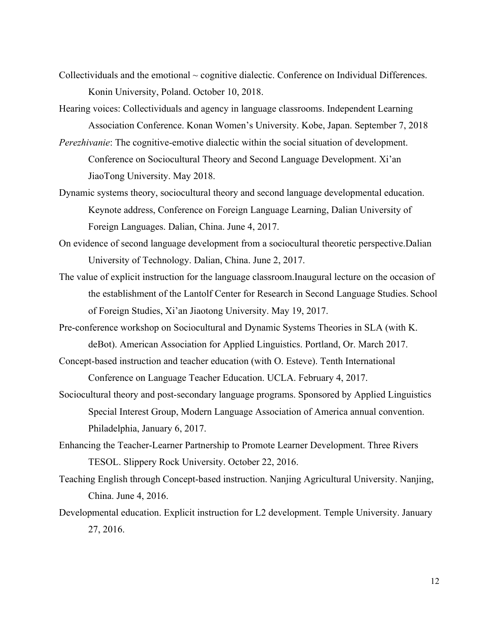- Collectividuals and the emotional  $\sim$  cognitive dialectic. Conference on Individual Differences. Konin University, Poland. October 10, 2018.
- Hearing voices: Collectividuals and agency in language classrooms. Independent Learning Association Conference. Konan Women's University. Kobe, Japan. September 7, 2018
- *Perezhivanie*: The cognitive-emotive dialectic within the social situation of development. Conference on Sociocultural Theory and Second Language Development. Xi'an JiaoTong University. May 2018.
- Dynamic systems theory, sociocultural theory and second language developmental education. Keynote address, Conference on Foreign Language Learning, Dalian University of Foreign Languages. Dalian, China. June 4, 2017.
- On evidence of second language development from a sociocultural theoretic perspective.Dalian University of Technology. Dalian, China. June 2, 2017.
- The value of explicit instruction for the language classroom.Inaugural lecture on the occasion of the establishment of the Lantolf Center for Research in Second Language Studies. School of Foreign Studies, Xi'an Jiaotong University. May 19, 2017.
- Pre-conference workshop on Sociocultural and Dynamic Systems Theories in SLA (with K. deBot). American Association for Applied Linguistics. Portland, Or. March 2017.
- Concept-based instruction and teacher education (with O. Esteve). Tenth International Conference on Language Teacher Education. UCLA. February 4, 2017.
- Sociocultural theory and post-secondary language programs. Sponsored by Applied Linguistics Special Interest Group, Modern Language Association of America annual convention. Philadelphia, January 6, 2017.
- Enhancing the Teacher-Learner Partnership to Promote Learner Development. Three Rivers TESOL. Slippery Rock University. October 22, 2016.
- Teaching English through Concept-based instruction. Nanjing Agricultural University. Nanjing, China. June 4, 2016.
- Developmental education. Explicit instruction for L2 development. Temple University. January 27, 2016.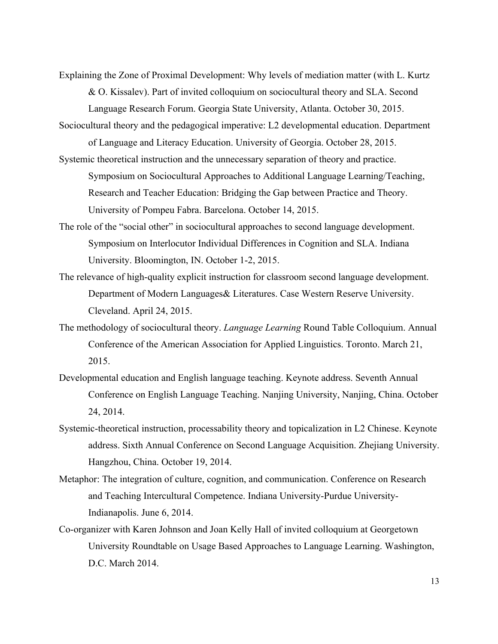Explaining the Zone of Proximal Development: Why levels of mediation matter (with L. Kurtz & O. Kissalev). Part of invited colloquium on sociocultural theory and SLA. Second Language Research Forum. Georgia State University, Atlanta. October 30, 2015.

Sociocultural theory and the pedagogical imperative: L2 developmental education. Department

of Language and Literacy Education. University of Georgia. October 28, 2015. Systemic theoretical instruction and the unnecessary separation of theory and practice.

Symposium on Sociocultural Approaches to Additional Language Learning/Teaching, Research and Teacher Education: Bridging the Gap between Practice and Theory. University of Pompeu Fabra. Barcelona. October 14, 2015.

- The role of the "social other" in sociocultural approaches to second language development. Symposium on Interlocutor Individual Differences in Cognition and SLA. Indiana University. Bloomington, IN. October 1-2, 2015.
- The relevance of high-quality explicit instruction for classroom second language development. Department of Modern Languages& Literatures. Case Western Reserve University. Cleveland. April 24, 2015.
- The methodology of sociocultural theory. *Language Learning* Round Table Colloquium. Annual Conference of the American Association for Applied Linguistics. Toronto. March 21, 2015.
- Developmental education and English language teaching. Keynote address. Seventh Annual Conference on English Language Teaching. Nanjing University, Nanjing, China. October 24, 2014.
- Systemic-theoretical instruction, processability theory and topicalization in L2 Chinese. Keynote address. Sixth Annual Conference on Second Language Acquisition. Zhejiang University. Hangzhou, China. October 19, 2014.
- Metaphor: The integration of culture, cognition, and communication. Conference on Research and Teaching Intercultural Competence. Indiana University-Purdue University-Indianapolis. June 6, 2014.
- Co-organizer with Karen Johnson and Joan Kelly Hall of invited colloquium at Georgetown University Roundtable on Usage Based Approaches to Language Learning. Washington, D.C. March 2014.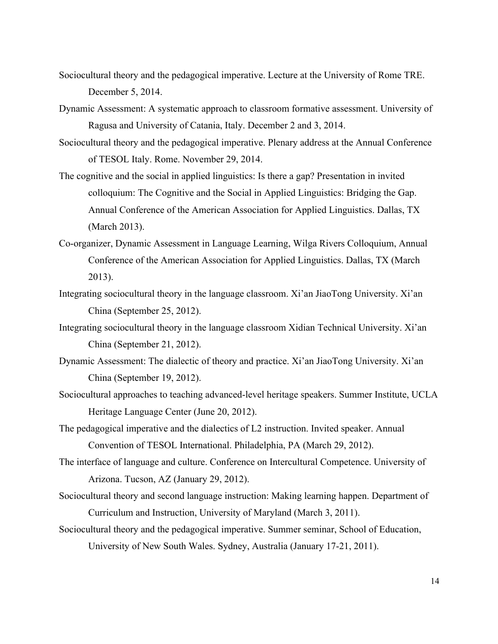- Sociocultural theory and the pedagogical imperative. Lecture at the University of Rome TRE. December 5, 2014.
- Dynamic Assessment: A systematic approach to classroom formative assessment. University of Ragusa and University of Catania, Italy. December 2 and 3, 2014.
- Sociocultural theory and the pedagogical imperative. Plenary address at the Annual Conference of TESOL Italy. Rome. November 29, 2014.
- The cognitive and the social in applied linguistics: Is there a gap? Presentation in invited colloquium: The Cognitive and the Social in Applied Linguistics: Bridging the Gap. Annual Conference of the American Association for Applied Linguistics. Dallas, TX (March 2013).
- Co-organizer, Dynamic Assessment in Language Learning, Wilga Rivers Colloquium, Annual Conference of the American Association for Applied Linguistics. Dallas, TX (March 2013).
- Integrating sociocultural theory in the language classroom. Xi'an JiaoTong University. Xi'an China (September 25, 2012).
- Integrating sociocultural theory in the language classroom Xidian Technical University. Xi'an China (September 21, 2012).
- Dynamic Assessment: The dialectic of theory and practice. Xi'an JiaoTong University. Xi'an China (September 19, 2012).
- Sociocultural approaches to teaching advanced-level heritage speakers. Summer Institute, UCLA Heritage Language Center (June 20, 2012).
- The pedagogical imperative and the dialectics of L2 instruction. Invited speaker. Annual Convention of TESOL International. Philadelphia, PA (March 29, 2012).
- The interface of language and culture. Conference on Intercultural Competence. University of Arizona. Tucson, AZ (January 29, 2012).
- Sociocultural theory and second language instruction: Making learning happen. Department of Curriculum and Instruction, University of Maryland (March 3, 2011).
- Sociocultural theory and the pedagogical imperative. Summer seminar, School of Education, University of New South Wales. Sydney, Australia (January 17-21, 2011).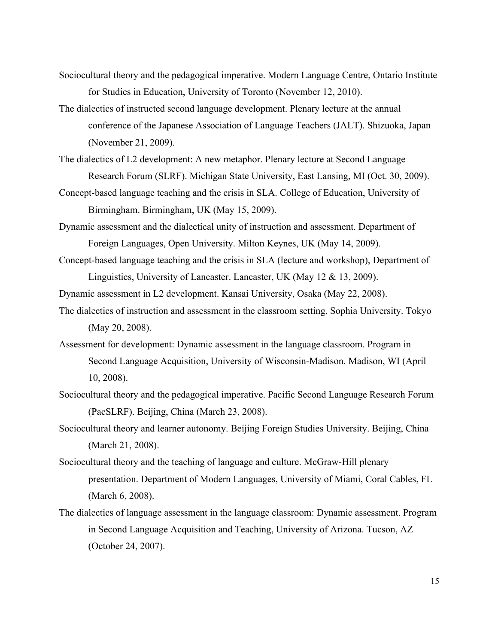- Sociocultural theory and the pedagogical imperative. Modern Language Centre, Ontario Institute for Studies in Education, University of Toronto (November 12, 2010).
- The dialectics of instructed second language development. Plenary lecture at the annual conference of the Japanese Association of Language Teachers (JALT). Shizuoka, Japan (November 21, 2009).
- The dialectics of L2 development: A new metaphor. Plenary lecture at Second Language Research Forum (SLRF). Michigan State University, East Lansing, MI (Oct. 30, 2009).
- Concept-based language teaching and the crisis in SLA. College of Education, University of Birmingham. Birmingham, UK (May 15, 2009).
- Dynamic assessment and the dialectical unity of instruction and assessment. Department of Foreign Languages, Open University. Milton Keynes, UK (May 14, 2009).
- Concept-based language teaching and the crisis in SLA (lecture and workshop), Department of Linguistics, University of Lancaster. Lancaster, UK (May 12 & 13, 2009).
- Dynamic assessment in L2 development. Kansai University, Osaka (May 22, 2008).
- The dialectics of instruction and assessment in the classroom setting, Sophia University. Tokyo (May 20, 2008).
- Assessment for development: Dynamic assessment in the language classroom. Program in Second Language Acquisition, University of Wisconsin-Madison. Madison, WI (April 10, 2008).
- Sociocultural theory and the pedagogical imperative. Pacific Second Language Research Forum (PacSLRF). Beijing, China (March 23, 2008).
- Sociocultural theory and learner autonomy. Beijing Foreign Studies University. Beijing, China (March 21, 2008).
- Sociocultural theory and the teaching of language and culture. McGraw-Hill plenary presentation. Department of Modern Languages, University of Miami, Coral Cables, FL (March 6, 2008).
- The dialectics of language assessment in the language classroom: Dynamic assessment. Program in Second Language Acquisition and Teaching, University of Arizona. Tucson, AZ (October 24, 2007).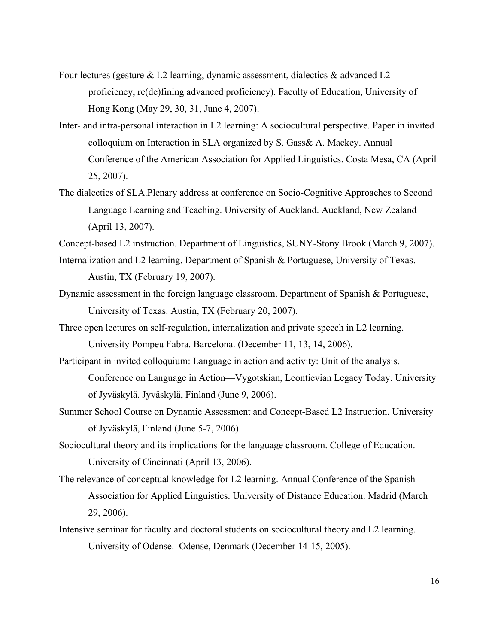- Four lectures (gesture  $& 12$  learning, dynamic assessment, dialectics  $&$  advanced  $12$ proficiency, re(de)fining advanced proficiency). Faculty of Education, University of Hong Kong (May 29, 30, 31, June 4, 2007).
- Inter- and intra-personal interaction in L2 learning: A sociocultural perspective. Paper in invited colloquium on Interaction in SLA organized by S. Gass& A. Mackey. Annual Conference of the American Association for Applied Linguistics. Costa Mesa, CA (April 25, 2007).
- The dialectics of SLA.Plenary address at conference on Socio-Cognitive Approaches to Second Language Learning and Teaching. University of Auckland. Auckland, New Zealand (April 13, 2007).
- Concept-based L2 instruction. Department of Linguistics, SUNY-Stony Brook (March 9, 2007).
- Internalization and L2 learning. Department of Spanish & Portuguese, University of Texas. Austin, TX (February 19, 2007).
- Dynamic assessment in the foreign language classroom. Department of Spanish & Portuguese, University of Texas. Austin, TX (February 20, 2007).
- Three open lectures on self-regulation, internalization and private speech in L2 learning. University Pompeu Fabra. Barcelona. (December 11, 13, 14, 2006).
- Participant in invited colloquium: Language in action and activity: Unit of the analysis. Conference on Language in Action—Vygotskian, Leontievian Legacy Today. University of Jyväskylä. Jyväskylä, Finland (June 9, 2006).
- Summer School Course on Dynamic Assessment and Concept-Based L2 Instruction. University of Jyväskylä, Finland (June 5-7, 2006).
- Sociocultural theory and its implications for the language classroom. College of Education. University of Cincinnati (April 13, 2006).
- The relevance of conceptual knowledge for L2 learning. Annual Conference of the Spanish Association for Applied Linguistics. University of Distance Education. Madrid (March 29, 2006).
- Intensive seminar for faculty and doctoral students on sociocultural theory and L2 learning. University of Odense. Odense, Denmark (December 14-15, 2005).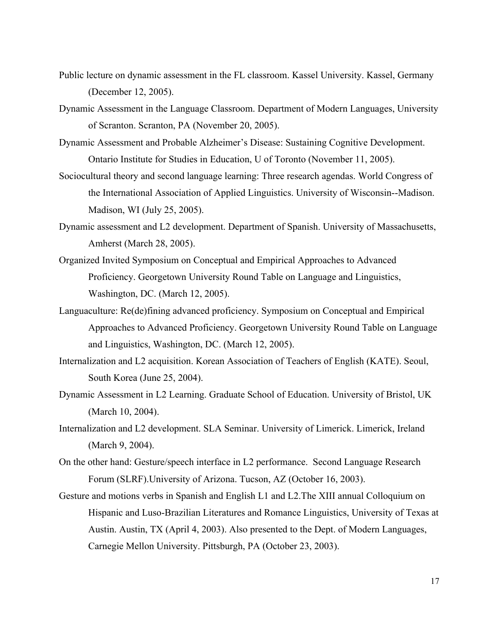- Public lecture on dynamic assessment in the FL classroom. Kassel University. Kassel, Germany (December 12, 2005).
- Dynamic Assessment in the Language Classroom. Department of Modern Languages, University of Scranton. Scranton, PA (November 20, 2005).
- Dynamic Assessment and Probable Alzheimer's Disease: Sustaining Cognitive Development. Ontario Institute for Studies in Education, U of Toronto (November 11, 2005).
- Sociocultural theory and second language learning: Three research agendas. World Congress of the International Association of Applied Linguistics. University of Wisconsin--Madison. Madison, WI (July 25, 2005).
- Dynamic assessment and L2 development. Department of Spanish. University of Massachusetts, Amherst (March 28, 2005).
- Organized Invited Symposium on Conceptual and Empirical Approaches to Advanced Proficiency. Georgetown University Round Table on Language and Linguistics, Washington, DC. (March 12, 2005).
- Languaculture: Re(de)fining advanced proficiency. Symposium on Conceptual and Empirical Approaches to Advanced Proficiency. Georgetown University Round Table on Language and Linguistics, Washington, DC. (March 12, 2005).
- Internalization and L2 acquisition. Korean Association of Teachers of English (KATE). Seoul, South Korea (June 25, 2004).
- Dynamic Assessment in L2 Learning. Graduate School of Education. University of Bristol, UK (March 10, 2004).
- Internalization and L2 development. SLA Seminar. University of Limerick. Limerick, Ireland (March 9, 2004).
- On the other hand: Gesture/speech interface in L2 performance. Second Language Research Forum (SLRF).University of Arizona. Tucson, AZ (October 16, 2003).
- Gesture and motions verbs in Spanish and English L1 and L2.The XIII annual Colloquium on Hispanic and Luso-Brazilian Literatures and Romance Linguistics, University of Texas at Austin. Austin, TX (April 4, 2003). Also presented to the Dept. of Modern Languages, Carnegie Mellon University. Pittsburgh, PA (October 23, 2003).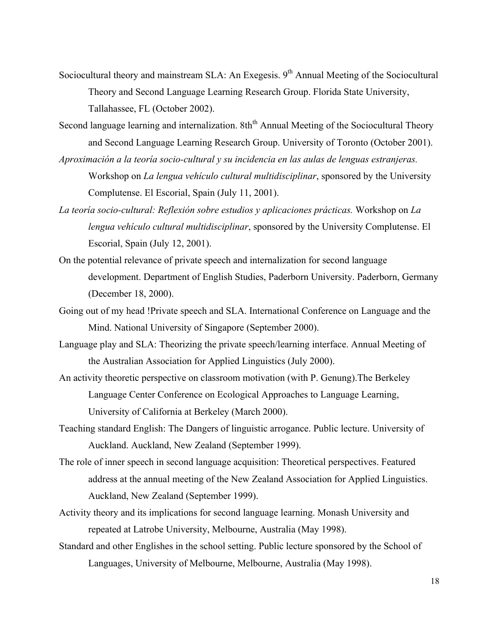- Sociocultural theory and mainstream SLA: An Exegesis. 9<sup>th</sup> Annual Meeting of the Sociocultural Theory and Second Language Learning Research Group. Florida State University, Tallahassee, FL (October 2002).
- Second language learning and internalization. 8th<sup>th</sup> Annual Meeting of the Sociocultural Theory and Second Language Learning Research Group. University of Toronto (October 2001).
- *Aproximación a la teoría socio-cultural y su incidencia en las aulas de lenguas estranjeras.*  Workshop on *La lengua vehículo cultural multidisciplinar*, sponsored by the University Complutense. El Escorial, Spain (July 11, 2001).
- *La teoría socio-cultural: Reflexión sobre estudios y aplicaciones prácticas.* Workshop on *La lengua vehículo cultural multidisciplinar*, sponsored by the University Complutense. El Escorial, Spain (July 12, 2001).
- On the potential relevance of private speech and internalization for second language development. Department of English Studies, Paderborn University. Paderborn, Germany (December 18, 2000).
- Going out of my head !Private speech and SLA. International Conference on Language and the Mind. National University of Singapore (September 2000).
- Language play and SLA: Theorizing the private speech/learning interface. Annual Meeting of the Australian Association for Applied Linguistics (July 2000).
- An activity theoretic perspective on classroom motivation (with P. Genung).The Berkeley Language Center Conference on Ecological Approaches to Language Learning, University of California at Berkeley (March 2000).
- Teaching standard English: The Dangers of linguistic arrogance. Public lecture. University of Auckland. Auckland, New Zealand (September 1999).
- The role of inner speech in second language acquisition: Theoretical perspectives. Featured address at the annual meeting of the New Zealand Association for Applied Linguistics. Auckland, New Zealand (September 1999).
- Activity theory and its implications for second language learning. Monash University and repeated at Latrobe University, Melbourne, Australia (May 1998).
- Standard and other Englishes in the school setting. Public lecture sponsored by the School of Languages, University of Melbourne, Melbourne, Australia (May 1998).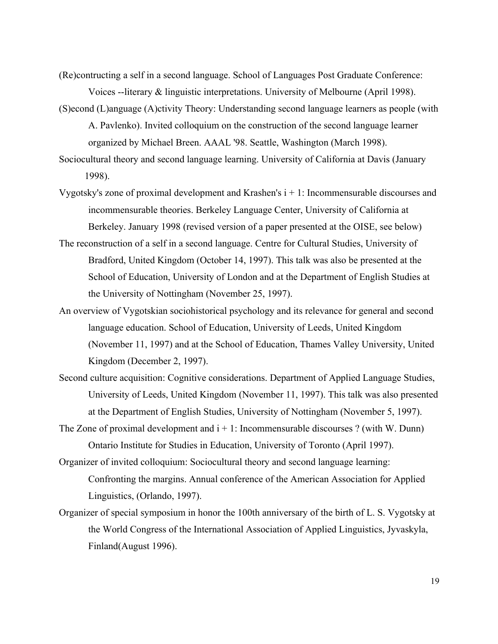(Re)contructing a self in a second language. School of Languages Post Graduate Conference: Voices --literary & linguistic interpretations. University of Melbourne (April 1998).

(S)econd (L)anguage (A)ctivity Theory: Understanding second language learners as people (with A. Pavlenko). Invited colloquium on the construction of the second language learner organized by Michael Breen. AAAL '98. Seattle, Washington (March 1998).

Sociocultural theory and second language learning. University of California at Davis (January 1998).

- Vygotsky's zone of proximal development and Krashen's  $i + 1$ : Incommensurable discourses and incommensurable theories. Berkeley Language Center, University of California at Berkeley. January 1998 (revised version of a paper presented at the OISE, see below)
- The reconstruction of a self in a second language. Centre for Cultural Studies, University of Bradford, United Kingdom (October 14, 1997). This talk was also be presented at the School of Education, University of London and at the Department of English Studies at the University of Nottingham (November 25, 1997).
- An overview of Vygotskian sociohistorical psychology and its relevance for general and second language education. School of Education, University of Leeds, United Kingdom (November 11, 1997) and at the School of Education, Thames Valley University, United Kingdom (December 2, 1997).
- Second culture acquisition: Cognitive considerations. Department of Applied Language Studies, University of Leeds, United Kingdom (November 11, 1997). This talk was also presented at the Department of English Studies, University of Nottingham (November 5, 1997).
- The Zone of proximal development and  $i + 1$ : Incommensurable discourses ? (with W. Dunn) Ontario Institute for Studies in Education, University of Toronto (April 1997).
- Organizer of invited colloquium: Sociocultural theory and second language learning: Confronting the margins. Annual conference of the American Association for Applied Linguistics, (Orlando, 1997).
- Organizer of special symposium in honor the 100th anniversary of the birth of L. S. Vygotsky at the World Congress of the International Association of Applied Linguistics, Jyvaskyla, Finland(August 1996).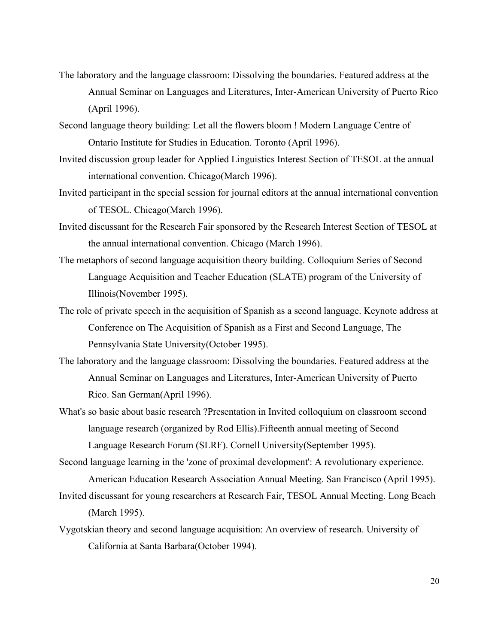- The laboratory and the language classroom: Dissolving the boundaries. Featured address at the Annual Seminar on Languages and Literatures, Inter-American University of Puerto Rico (April 1996).
- Second language theory building: Let all the flowers bloom ! Modern Language Centre of Ontario Institute for Studies in Education. Toronto (April 1996).
- Invited discussion group leader for Applied Linguistics Interest Section of TESOL at the annual international convention. Chicago(March 1996).
- Invited participant in the special session for journal editors at the annual international convention of TESOL. Chicago(March 1996).
- Invited discussant for the Research Fair sponsored by the Research Interest Section of TESOL at the annual international convention. Chicago (March 1996).
- The metaphors of second language acquisition theory building. Colloquium Series of Second Language Acquisition and Teacher Education (SLATE) program of the University of Illinois(November 1995).
- The role of private speech in the acquisition of Spanish as a second language. Keynote address at Conference on The Acquisition of Spanish as a First and Second Language, The Pennsylvania State University(October 1995).
- The laboratory and the language classroom: Dissolving the boundaries. Featured address at the Annual Seminar on Languages and Literatures, Inter-American University of Puerto Rico. San German(April 1996).
- What's so basic about basic research ?Presentation in Invited colloquium on classroom second language research (organized by Rod Ellis).Fifteenth annual meeting of Second Language Research Forum (SLRF). Cornell University(September 1995).

Second language learning in the 'zone of proximal development': A revolutionary experience. American Education Research Association Annual Meeting. San Francisco (April 1995).

- Invited discussant for young researchers at Research Fair, TESOL Annual Meeting. Long Beach (March 1995).
- Vygotskian theory and second language acquisition: An overview of research. University of California at Santa Barbara(October 1994).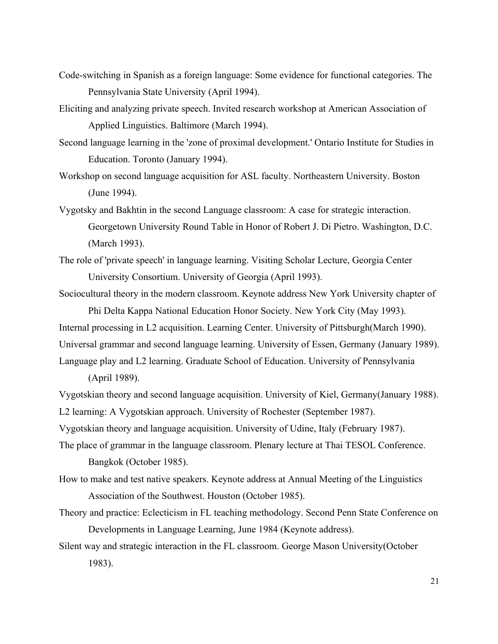- Code-switching in Spanish as a foreign language: Some evidence for functional categories. The Pennsylvania State University (April 1994).
- Eliciting and analyzing private speech. Invited research workshop at American Association of Applied Linguistics. Baltimore (March 1994).
- Second language learning in the 'zone of proximal development.' Ontario Institute for Studies in Education. Toronto (January 1994).
- Workshop on second language acquisition for ASL faculty. Northeastern University. Boston (June 1994).
- Vygotsky and Bakhtin in the second Language classroom: A case for strategic interaction. Georgetown University Round Table in Honor of Robert J. Di Pietro. Washington, D.C. (March 1993).

The role of 'private speech' in language learning. Visiting Scholar Lecture, Georgia Center University Consortium. University of Georgia (April 1993).

Sociocultural theory in the modern classroom. Keynote address New York University chapter of Phi Delta Kappa National Education Honor Society. New York City (May 1993).

Internal processing in L2 acquisition. Learning Center. University of Pittsburgh(March 1990). Universal grammar and second language learning. University of Essen, Germany (January 1989). Language play and L2 learning. Graduate School of Education. University of Pennsylvania

(April 1989).

Vygotskian theory and second language acquisition. University of Kiel, Germany(January 1988). L2 learning: A Vygotskian approach. University of Rochester (September 1987).

Vygotskian theory and language acquisition. University of Udine, Italy (February 1987).

The place of grammar in the language classroom. Plenary lecture at Thai TESOL Conference. Bangkok (October 1985).

- How to make and test native speakers. Keynote address at Annual Meeting of the Linguistics Association of the Southwest. Houston (October 1985).
- Theory and practice: Eclecticism in FL teaching methodology. Second Penn State Conference on Developments in Language Learning, June 1984 (Keynote address).
- Silent way and strategic interaction in the FL classroom. George Mason University(October 1983).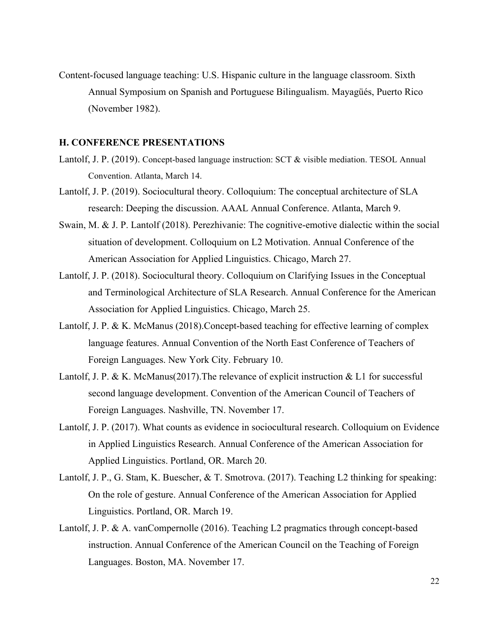Content-focused language teaching: U.S. Hispanic culture in the language classroom. Sixth Annual Symposium on Spanish and Portuguese Bilingualism. Mayagüés, Puerto Rico (November 1982).

#### **H. CONFERENCE PRESENTATIONS**

- Lantolf, J. P. (2019). Concept-based language instruction: SCT & visible mediation. TESOL Annual Convention. Atlanta, March 14.
- Lantolf, J. P. (2019). Sociocultural theory. Colloquium: The conceptual architecture of SLA research: Deeping the discussion. AAAL Annual Conference. Atlanta, March 9.
- Swain, M. & J. P. Lantolf (2018). Perezhivanie: The cognitive-emotive dialectic within the social situation of development. Colloquium on L2 Motivation. Annual Conference of the American Association for Applied Linguistics. Chicago, March 27.
- Lantolf, J. P. (2018). Sociocultural theory. Colloquium on Clarifying Issues in the Conceptual and Terminological Architecture of SLA Research. Annual Conference for the American Association for Applied Linguistics. Chicago, March 25.
- Lantolf, J. P. & K. McManus (2018).Concept-based teaching for effective learning of complex language features. Annual Convention of the North East Conference of Teachers of Foreign Languages. New York City. February 10.
- Lantolf, J. P. & K. McManus(2017). The relevance of explicit instruction  $& L1$  for successful second language development. Convention of the American Council of Teachers of Foreign Languages. Nashville, TN. November 17.
- Lantolf, J. P. (2017). What counts as evidence in sociocultural research. Colloquium on Evidence in Applied Linguistics Research. Annual Conference of the American Association for Applied Linguistics. Portland, OR. March 20.
- Lantolf, J. P., G. Stam, K. Buescher, & T. Smotrova. (2017). Teaching L2 thinking for speaking: On the role of gesture. Annual Conference of the American Association for Applied Linguistics. Portland, OR. March 19.
- Lantolf, J. P. & A. vanCompernolle (2016). Teaching L2 pragmatics through concept-based instruction. Annual Conference of the American Council on the Teaching of Foreign Languages. Boston, MA. November 17.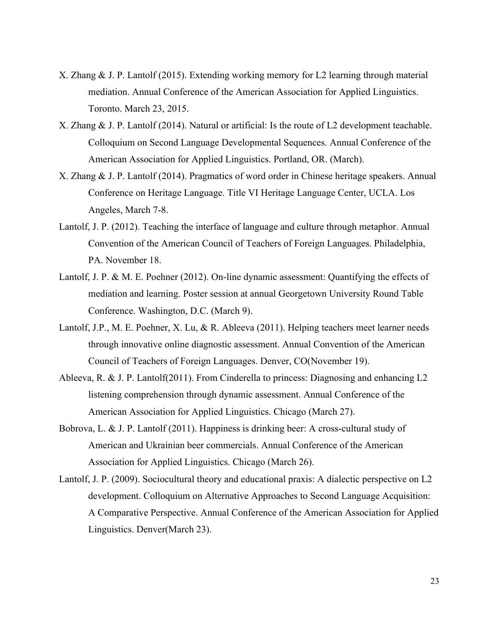- X. Zhang & J. P. Lantolf (2015). Extending working memory for L2 learning through material mediation. Annual Conference of the American Association for Applied Linguistics. Toronto. March 23, 2015.
- X. Zhang & J. P. Lantolf (2014). Natural or artificial: Is the route of L2 development teachable. Colloquium on Second Language Developmental Sequences. Annual Conference of the American Association for Applied Linguistics. Portland, OR. (March).
- X. Zhang & J. P. Lantolf (2014). Pragmatics of word order in Chinese heritage speakers. Annual Conference on Heritage Language. Title VI Heritage Language Center, UCLA. Los Angeles, March 7-8.
- Lantolf, J. P. (2012). Teaching the interface of language and culture through metaphor. Annual Convention of the American Council of Teachers of Foreign Languages. Philadelphia, PA. November 18.
- Lantolf, J. P. & M. E. Poehner (2012). On-line dynamic assessment: Quantifying the effects of mediation and learning. Poster session at annual Georgetown University Round Table Conference. Washington, D.C. (March 9).
- Lantolf, J.P., M. E. Poehner, X. Lu, & R. Ableeva (2011). Helping teachers meet learner needs through innovative online diagnostic assessment. Annual Convention of the American Council of Teachers of Foreign Languages. Denver, CO(November 19).
- Ableeva, R. & J. P. Lantolf(2011). From Cinderella to princess: Diagnosing and enhancing L2 listening comprehension through dynamic assessment. Annual Conference of the American Association for Applied Linguistics. Chicago (March 27).
- Bobrova, L. & J. P. Lantolf (2011). Happiness is drinking beer: A cross-cultural study of American and Ukrainian beer commercials. Annual Conference of the American Association for Applied Linguistics. Chicago (March 26).
- Lantolf, J. P. (2009). Sociocultural theory and educational praxis: A dialectic perspective on L2 development. Colloquium on Alternative Approaches to Second Language Acquisition: A Comparative Perspective. Annual Conference of the American Association for Applied Linguistics. Denver(March 23).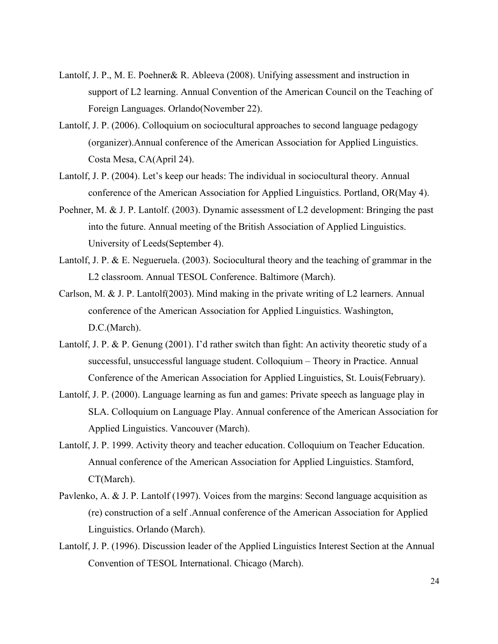- Lantolf, J. P., M. E. Poehner& R. Ableeva (2008). Unifying assessment and instruction in support of L2 learning. Annual Convention of the American Council on the Teaching of Foreign Languages. Orlando(November 22).
- Lantolf, J. P. (2006). Colloquium on sociocultural approaches to second language pedagogy (organizer).Annual conference of the American Association for Applied Linguistics. Costa Mesa, CA(April 24).
- Lantolf, J. P. (2004). Let's keep our heads: The individual in sociocultural theory. Annual conference of the American Association for Applied Linguistics. Portland, OR(May 4).
- Poehner, M. & J. P. Lantolf. (2003). Dynamic assessment of L2 development: Bringing the past into the future. Annual meeting of the British Association of Applied Linguistics. University of Leeds(September 4).
- Lantolf, J. P. & E. Negueruela. (2003). Sociocultural theory and the teaching of grammar in the L2 classroom. Annual TESOL Conference. Baltimore (March).
- Carlson, M. & J. P. Lantolf(2003). Mind making in the private writing of L2 learners. Annual conference of the American Association for Applied Linguistics. Washington, D.C.(March).
- Lantolf, J. P. & P. Genung (2001). I'd rather switch than fight: An activity theoretic study of a successful, unsuccessful language student. Colloquium – Theory in Practice. Annual Conference of the American Association for Applied Linguistics, St. Louis(February).
- Lantolf, J. P. (2000). Language learning as fun and games: Private speech as language play in SLA. Colloquium on Language Play. Annual conference of the American Association for Applied Linguistics. Vancouver (March).
- Lantolf, J. P. 1999. Activity theory and teacher education. Colloquium on Teacher Education. Annual conference of the American Association for Applied Linguistics. Stamford, CT(March).
- Pavlenko, A. & J. P. Lantolf (1997). Voices from the margins: Second language acquisition as (re) construction of a self .Annual conference of the American Association for Applied Linguistics. Orlando (March).
- Lantolf, J. P. (1996). Discussion leader of the Applied Linguistics Interest Section at the Annual Convention of TESOL International. Chicago (March).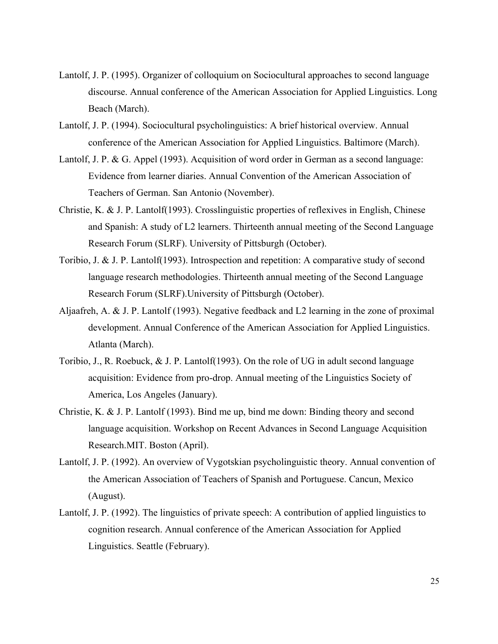- Lantolf, J. P. (1995). Organizer of colloquium on Sociocultural approaches to second language discourse. Annual conference of the American Association for Applied Linguistics. Long Beach (March).
- Lantolf, J. P. (1994). Sociocultural psycholinguistics: A brief historical overview. Annual conference of the American Association for Applied Linguistics. Baltimore (March).
- Lantolf, J. P. & G. Appel (1993). Acquisition of word order in German as a second language: Evidence from learner diaries. Annual Convention of the American Association of Teachers of German. San Antonio (November).
- Christie, K. & J. P. Lantolf(1993). Crosslinguistic properties of reflexives in English, Chinese and Spanish: A study of L2 learners. Thirteenth annual meeting of the Second Language Research Forum (SLRF). University of Pittsburgh (October).
- Toribio, J. & J. P. Lantolf(1993). Introspection and repetition: A comparative study of second language research methodologies. Thirteenth annual meeting of the Second Language Research Forum (SLRF).University of Pittsburgh (October).
- Aljaafreh, A. & J. P. Lantolf (1993). Negative feedback and L2 learning in the zone of proximal development. Annual Conference of the American Association for Applied Linguistics. Atlanta (March).
- Toribio, J., R. Roebuck, & J. P. Lantolf(1993). On the role of UG in adult second language acquisition: Evidence from pro-drop. Annual meeting of the Linguistics Society of America, Los Angeles (January).
- Christie, K. & J. P. Lantolf (1993). Bind me up, bind me down: Binding theory and second language acquisition. Workshop on Recent Advances in Second Language Acquisition Research.MIT. Boston (April).
- Lantolf, J. P. (1992). An overview of Vygotskian psycholinguistic theory. Annual convention of the American Association of Teachers of Spanish and Portuguese. Cancun, Mexico (August).
- Lantolf, J. P. (1992). The linguistics of private speech: A contribution of applied linguistics to cognition research. Annual conference of the American Association for Applied Linguistics. Seattle (February).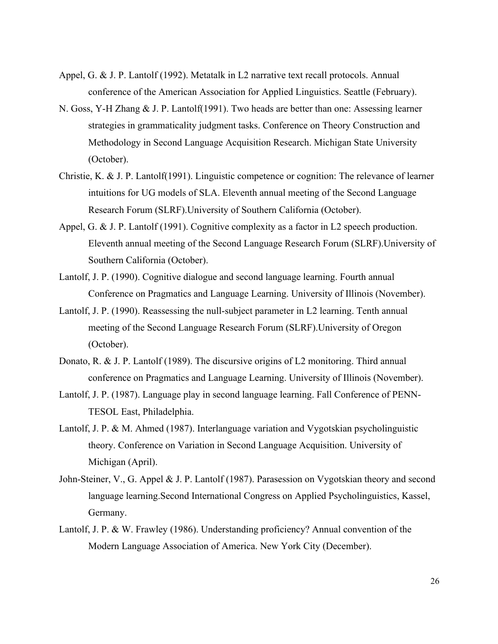- Appel, G. & J. P. Lantolf (1992). Metatalk in L2 narrative text recall protocols. Annual conference of the American Association for Applied Linguistics. Seattle (February).
- N. Goss, Y-H Zhang & J. P. Lantolf(1991). Two heads are better than one: Assessing learner strategies in grammaticality judgment tasks. Conference on Theory Construction and Methodology in Second Language Acquisition Research. Michigan State University (October).
- Christie, K. & J. P. Lantolf(1991). Linguistic competence or cognition: The relevance of learner intuitions for UG models of SLA. Eleventh annual meeting of the Second Language Research Forum (SLRF).University of Southern California (October).
- Appel, G. & J. P. Lantolf (1991). Cognitive complexity as a factor in L2 speech production. Eleventh annual meeting of the Second Language Research Forum (SLRF).University of Southern California (October).
- Lantolf, J. P. (1990). Cognitive dialogue and second language learning. Fourth annual Conference on Pragmatics and Language Learning. University of Illinois (November).
- Lantolf, J. P. (1990). Reassessing the null-subject parameter in L2 learning. Tenth annual meeting of the Second Language Research Forum (SLRF).University of Oregon (October).
- Donato, R. & J. P. Lantolf (1989). The discursive origins of L2 monitoring. Third annual conference on Pragmatics and Language Learning. University of Illinois (November).
- Lantolf, J. P. (1987). Language play in second language learning. Fall Conference of PENN-TESOL East, Philadelphia.
- Lantolf, J. P. & M. Ahmed (1987). Interlanguage variation and Vygotskian psycholinguistic theory. Conference on Variation in Second Language Acquisition. University of Michigan (April).
- John-Steiner, V., G. Appel & J. P. Lantolf (1987). Parasession on Vygotskian theory and second language learning.Second International Congress on Applied Psycholinguistics, Kassel, Germany.
- Lantolf, J. P. & W. Frawley (1986). Understanding proficiency? Annual convention of the Modern Language Association of America. New York City (December).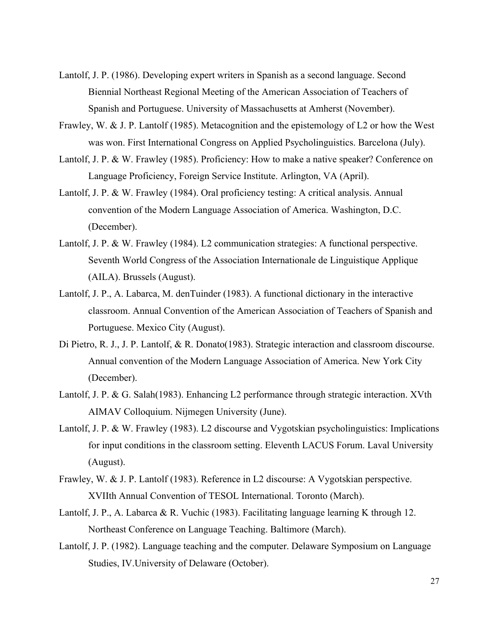- Lantolf, J. P. (1986). Developing expert writers in Spanish as a second language. Second Biennial Northeast Regional Meeting of the American Association of Teachers of Spanish and Portuguese. University of Massachusetts at Amherst (November).
- Frawley, W. & J. P. Lantolf (1985). Metacognition and the epistemology of L2 or how the West was won. First International Congress on Applied Psycholinguistics. Barcelona (July).
- Lantolf, J. P. & W. Frawley (1985). Proficiency: How to make a native speaker? Conference on Language Proficiency, Foreign Service Institute. Arlington, VA (April).
- Lantolf, J. P. & W. Frawley (1984). Oral proficiency testing: A critical analysis. Annual convention of the Modern Language Association of America. Washington, D.C. (December).
- Lantolf, J. P. & W. Frawley (1984). L2 communication strategies: A functional perspective. Seventh World Congress of the Association Internationale de Linguistique Applique (AILA). Brussels (August).
- Lantolf, J. P., A. Labarca, M. denTuinder (1983). A functional dictionary in the interactive classroom. Annual Convention of the American Association of Teachers of Spanish and Portuguese. Mexico City (August).
- Di Pietro, R. J., J. P. Lantolf, & R. Donato(1983). Strategic interaction and classroom discourse. Annual convention of the Modern Language Association of America. New York City (December).
- Lantolf, J. P. & G. Salah(1983). Enhancing L2 performance through strategic interaction. XVth AIMAV Colloquium. Nijmegen University (June).
- Lantolf, J. P. & W. Frawley (1983). L2 discourse and Vygotskian psycholinguistics: Implications for input conditions in the classroom setting. Eleventh LACUS Forum. Laval University (August).
- Frawley, W. & J. P. Lantolf (1983). Reference in L2 discourse: A Vygotskian perspective. XVIIth Annual Convention of TESOL International. Toronto (March).
- Lantolf, J. P., A. Labarca & R. Vuchic (1983). Facilitating language learning K through 12. Northeast Conference on Language Teaching. Baltimore (March).
- Lantolf, J. P. (1982). Language teaching and the computer. Delaware Symposium on Language Studies, IV.University of Delaware (October).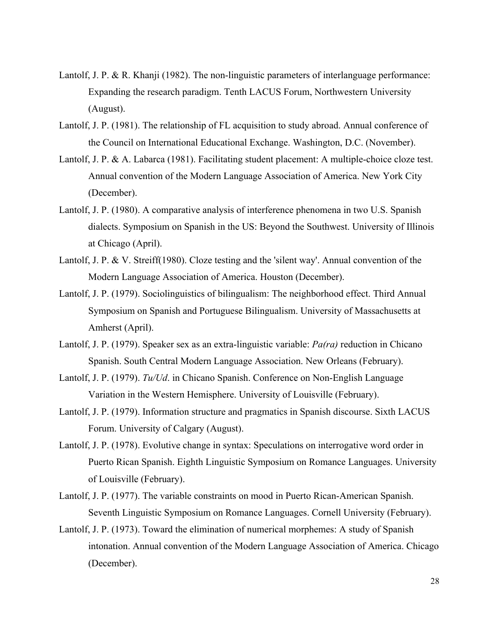- Lantolf, J. P. & R. Khanji (1982). The non-linguistic parameters of interlanguage performance: Expanding the research paradigm. Tenth LACUS Forum, Northwestern University (August).
- Lantolf, J. P. (1981). The relationship of FL acquisition to study abroad. Annual conference of the Council on International Educational Exchange. Washington, D.C. (November).
- Lantolf, J. P. & A. Labarca (1981). Facilitating student placement: A multiple-choice cloze test. Annual convention of the Modern Language Association of America. New York City (December).
- Lantolf, J. P. (1980). A comparative analysis of interference phenomena in two U.S. Spanish dialects. Symposium on Spanish in the US: Beyond the Southwest. University of Illinois at Chicago (April).
- Lantolf, J. P. & V. Streiff(1980). Cloze testing and the 'silent way'. Annual convention of the Modern Language Association of America. Houston (December).
- Lantolf, J. P. (1979). Sociolinguistics of bilingualism: The neighborhood effect. Third Annual Symposium on Spanish and Portuguese Bilingualism. University of Massachusetts at Amherst (April).
- Lantolf, J. P. (1979). Speaker sex as an extra-linguistic variable: *Pa(ra)* reduction in Chicano Spanish. South Central Modern Language Association. New Orleans (February).
- Lantolf, J. P. (1979). *Tu/Ud*. in Chicano Spanish. Conference on Non-English Language Variation in the Western Hemisphere. University of Louisville (February).
- Lantolf, J. P. (1979). Information structure and pragmatics in Spanish discourse. Sixth LACUS Forum. University of Calgary (August).
- Lantolf, J. P. (1978). Evolutive change in syntax: Speculations on interrogative word order in Puerto Rican Spanish. Eighth Linguistic Symposium on Romance Languages. University of Louisville (February).
- Lantolf, J. P. (1977). The variable constraints on mood in Puerto Rican-American Spanish. Seventh Linguistic Symposium on Romance Languages. Cornell University (February).
- Lantolf, J. P. (1973). Toward the elimination of numerical morphemes: A study of Spanish intonation. Annual convention of the Modern Language Association of America. Chicago (December).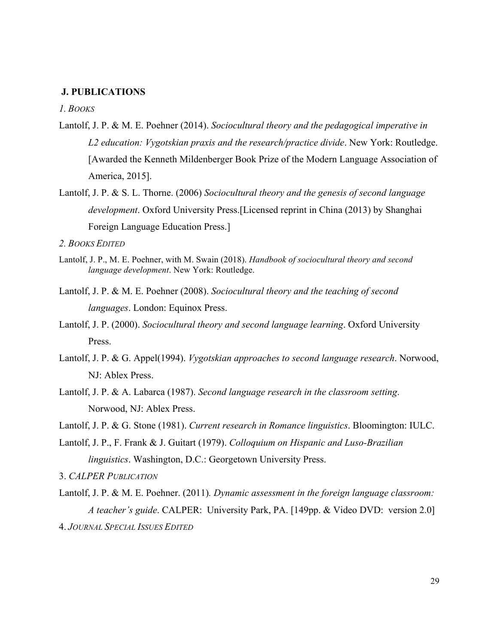### **J. PUBLICATIONS**

*1. BOOKS*

- Lantolf, J. P. & M. E. Poehner (2014). *Sociocultural theory and the pedagogical imperative in L2 education: Vygotskian praxis and the research/practice divide*. New York: Routledge. [Awarded the Kenneth Mildenberger Book Prize of the Modern Language Association of America, 2015].
- Lantolf, J. P. & S. L. Thorne. (2006) *Sociocultural theory and the genesis of second language development*. Oxford University Press.[Licensed reprint in China (2013) by Shanghai Foreign Language Education Press.]

*2. BOOKS EDITED*

- Lantolf, J. P., M. E. Poehner, with M. Swain (2018). *Handbook of sociocultural theory and second language development*. New York: Routledge.
- Lantolf, J. P. & M. E. Poehner (2008). *Sociocultural theory and the teaching of second languages*. London: Equinox Press.
- Lantolf, J. P. (2000). *Sociocultural theory and second language learning*. Oxford University **Press**.
- Lantolf, J. P. & G. Appel(1994). *Vygotskian approaches to second language research*. Norwood, NJ: Ablex Press.
- Lantolf, J. P. & A. Labarca (1987). *Second language research in the classroom setting*. Norwood, NJ: Ablex Press.

Lantolf, J. P. & G. Stone (1981). *Current research in Romance linguistics*. Bloomington: IULC.

Lantolf, J. P., F. Frank & J. Guitart (1979). *Colloquium on Hispanic and Luso-Brazilian linguistics*. Washington, D.C.: Georgetown University Press.

3. *CALPER PUBLICATION*

Lantolf, J. P. & M. E. Poehner. (2011)*. Dynamic assessment in the foreign language classroom: A teacher's guide*. CALPER: University Park, PA. [149pp. & Video DVD: version 2.0] 4. *JOURNAL SPECIAL ISSUES EDITED*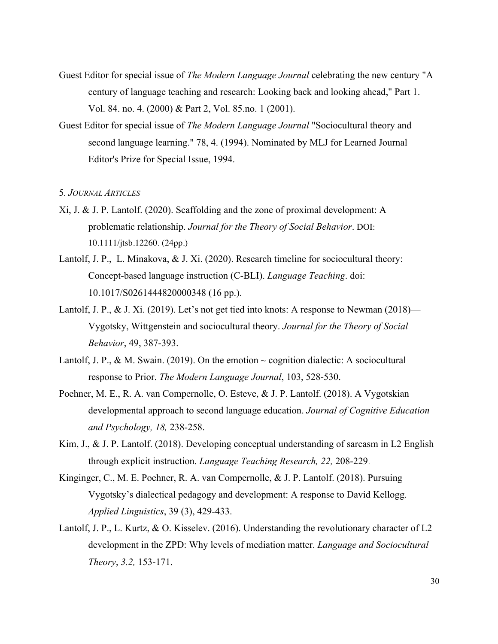- Guest Editor for special issue of *The Modern Language Journal* celebrating the new century "A century of language teaching and research: Looking back and looking ahead," Part 1. Vol. 84. no. 4. (2000) & Part 2, Vol. 85.no. 1 (2001).
- Guest Editor for special issue of *The Modern Language Journal* "Sociocultural theory and second language learning." 78, 4. (1994). Nominated by MLJ for Learned Journal Editor's Prize for Special Issue, 1994.

### 5*. JOURNAL ARTICLES*

- Xi, J. & J. P. Lantolf. (2020). Scaffolding and the zone of proximal development: A problematic relationship. *Journal for the Theory of Social Behavior*. DOI: 10.1111/jtsb.12260. (24pp.)
- Lantolf, J. P., L. Minakova, & J. Xi. (2020). Research timeline for sociocultural theory: Concept-based language instruction (C-BLI). *Language Teaching*. doi: 10.1017/S0261444820000348 (16 pp.).
- Lantolf, J. P., & J. Xi. (2019). Let's not get tied into knots: A response to Newman (2018)— Vygotsky, Wittgenstein and sociocultural theory. *Journal for the Theory of Social Behavior*, 49, 387-393.
- Lantolf, J. P., & M. Swain. (2019). On the emotion  $\sim$  cognition dialectic: A sociocultural response to Prior. *The Modern Language Journal*, 103, 528-530.
- Poehner, M. E., R. A. van Compernolle, O. Esteve, & J. P. Lantolf. (2018). A Vygotskian developmental approach to second language education. *Journal of Cognitive Education and Psychology, 18,* 238-258.
- Kim, J., & J. P. Lantolf. (2018). Developing conceptual understanding of sarcasm in L2 English through explicit instruction. *Language Teaching Research, 22,* 208-229.
- Kinginger, C., M. E. Poehner, R. A. van Compernolle, & J. P. Lantolf. (2018). Pursuing Vygotsky's dialectical pedagogy and development: A response to David Kellogg. *Applied Linguistics*, 39 (3), 429-433.
- Lantolf, J. P., L. Kurtz, & O. Kisselev. (2016). Understanding the revolutionary character of L2 development in the ZPD: Why levels of mediation matter. *Language and Sociocultural Theory*, *3.2,* 153-171.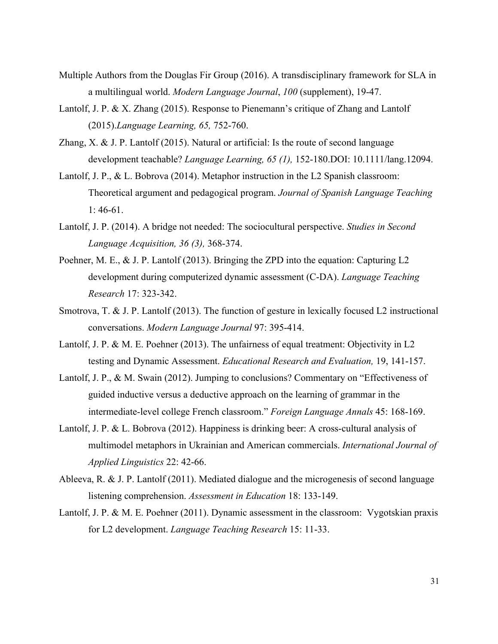- Multiple Authors from the Douglas Fir Group (2016). A transdisciplinary framework for SLA in a multilingual world. *Modern Language Journal*, *100* (supplement), 19-47.
- Lantolf, J. P. & X. Zhang (2015). Response to Pienemann's critique of Zhang and Lantolf (2015).*Language Learning, 65,* 752-760.
- Zhang, X. & J. P. Lantolf (2015). Natural or artificial: Is the route of second language development teachable? *Language Learning, 65 (1),* 152-180.DOI: 10.1111/lang.12094.
- Lantolf, J. P., & L. Bobrova (2014). Metaphor instruction in the L2 Spanish classroom: Theoretical argument and pedagogical program. *Journal of Spanish Language Teaching*  1: 46-61.
- Lantolf, J. P. (2014). A bridge not needed: The sociocultural perspective. *Studies in Second Language Acquisition, 36 (3),* 368-374.
- Poehner, M. E., & J. P. Lantolf (2013). Bringing the ZPD into the equation: Capturing L2 development during computerized dynamic assessment (C-DA). *Language Teaching Research* 17: 323-342.
- Smotrova, T. & J. P. Lantolf (2013). The function of gesture in lexically focused L2 instructional conversations. *Modern Language Journal* 97: 395-414.
- Lantolf, J. P. & M. E. Poehner (2013). The unfairness of equal treatment: Objectivity in L2 testing and Dynamic Assessment. *Educational Research and Evaluation,* 19, 141-157.
- Lantolf, J. P., & M. Swain (2012). Jumping to conclusions? Commentary on "Effectiveness of guided inductive versus a deductive approach on the learning of grammar in the intermediate-level college French classroom." *Foreign Language Annals* 45: 168-169.
- Lantolf, J. P. & L. Bobrova (2012). Happiness is drinking beer: A cross-cultural analysis of multimodel metaphors in Ukrainian and American commercials. *International Journal of Applied Linguistics* 22: 42-66.
- Ableeva, R. & J. P. Lantolf (2011). Mediated dialogue and the microgenesis of second language listening comprehension. *Assessment in Education* 18: 133-149.
- Lantolf, J. P. & M. E. Poehner (2011). Dynamic assessment in the classroom: Vygotskian praxis for L2 development. *Language Teaching Research* 15: 11-33.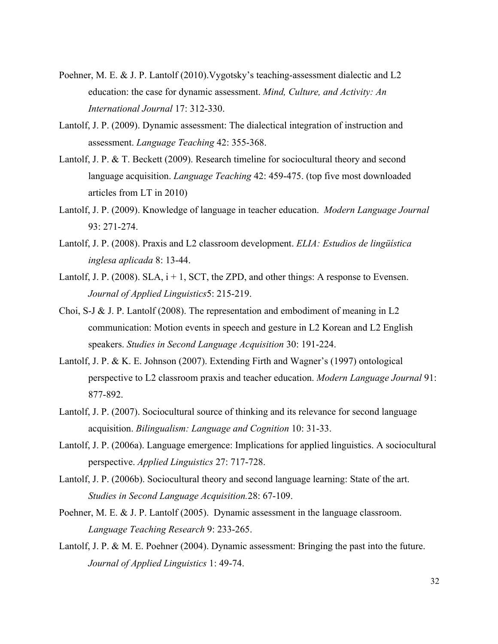- Poehner, M. E. & J. P. Lantolf (2010).Vygotsky's teaching-assessment dialectic and L2 education: the case for dynamic assessment. *Mind, Culture, and Activity: An International Journal* 17: 312-330.
- Lantolf, J. P. (2009). Dynamic assessment: The dialectical integration of instruction and assessment. *Language Teaching* 42: 355-368.
- Lantolf, J. P. & T. Beckett (2009). Research timeline for sociocultural theory and second language acquisition. *Language Teaching* 42: 459-475. (top five most downloaded articles from LT in 2010)
- Lantolf, J. P. (2009). Knowledge of language in teacher education. *Modern Language Journal*  93: 271-274.
- Lantolf, J. P. (2008). Praxis and L2 classroom development. *ELIA: Estudios de lingüística inglesa aplicada* 8: 13-44.
- Lantolf, J. P. (2008). SLA,  $i + 1$ , SCT, the ZPD, and other things: A response to Evensen. *Journal of Applied Linguistics*5: 215-219.
- Choi, S-J & J. P. Lantolf (2008). The representation and embodiment of meaning in L2 communication: Motion events in speech and gesture in L2 Korean and L2 English speakers. *Studies in Second Language Acquisition* 30: 191-224.
- Lantolf, J. P. & K. E. Johnson (2007). Extending Firth and Wagner's (1997) ontological perspective to L2 classroom praxis and teacher education. *Modern Language Journal* 91: 877-892.
- Lantolf, J. P. (2007). Sociocultural source of thinking and its relevance for second language acquisition. *Bilingualism: Language and Cognition* 10: 31-33.
- Lantolf, J. P. (2006a). Language emergence: Implications for applied linguistics. A sociocultural perspective. *Applied Linguistics* 27: 717-728.
- Lantolf, J. P. (2006b). Sociocultural theory and second language learning: State of the art. *Studies in Second Language Acquisition.*28: 67-109.
- Poehner, M. E. & J. P. Lantolf (2005). Dynamic assessment in the language classroom. *Language Teaching Research* 9: 233-265.
- Lantolf, J. P. & M. E. Poehner (2004). Dynamic assessment: Bringing the past into the future. *Journal of Applied Linguistics* 1: 49-74.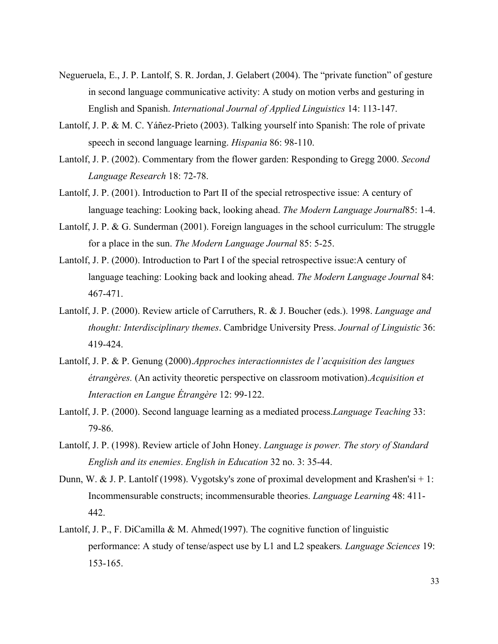- Negueruela, E., J. P. Lantolf, S. R. Jordan, J. Gelabert (2004). The "private function" of gesture in second language communicative activity: A study on motion verbs and gesturing in English and Spanish. *International Journal of Applied Linguistics* 14: 113-147.
- Lantolf, J. P. & M. C. Yáñez-Prieto (2003). Talking yourself into Spanish: The role of private speech in second language learning. *Hispania* 86: 98-110.
- Lantolf, J. P. (2002). Commentary from the flower garden: Responding to Gregg 2000. *Second Language Research* 18: 72-78.
- Lantolf, J. P. (2001). Introduction to Part II of the special retrospective issue: A century of language teaching: Looking back, looking ahead. *The Modern Language Journal*85: 1-4.
- Lantolf, J. P. & G. Sunderman (2001). Foreign languages in the school curriculum: The struggle for a place in the sun. *The Modern Language Journal* 85: 5-25.
- Lantolf, J. P. (2000). Introduction to Part I of the special retrospective issue:A century of language teaching: Looking back and looking ahead. *The Modern Language Journal* 84: 467-471.
- Lantolf, J. P. (2000). Review article of Carruthers, R. & J. Boucher (eds.). 1998. *Language and thought: Interdisciplinary themes*. Cambridge University Press. *Journal of Linguistic* 36: 419-424.
- Lantolf, J. P. & P. Genung (2000).*Approches interactionnistes de l'acquisition des langues étrangères.* (An activity theoretic perspective on classroom motivation).*Acquisition et Interaction en Langue Étrangère* 12: 99-122.
- Lantolf, J. P. (2000). Second language learning as a mediated process.*Language Teaching* 33: 79-86.
- Lantolf, J. P. (1998). Review article of John Honey. *Language is power. The story of Standard English and its enemies*. *English in Education* 32 no. 3: 35-44.
- Dunn, W. & J. P. Lantolf (1998). Vygotsky's zone of proximal development and Krashen'si + 1: Incommensurable constructs; incommensurable theories. *Language Learning* 48: 411- 442.
- Lantolf, J. P., F. DiCamilla & M. Ahmed(1997). The cognitive function of linguistic performance: A study of tense/aspect use by L1 and L2 speakers*. Language Sciences* 19: 153-165.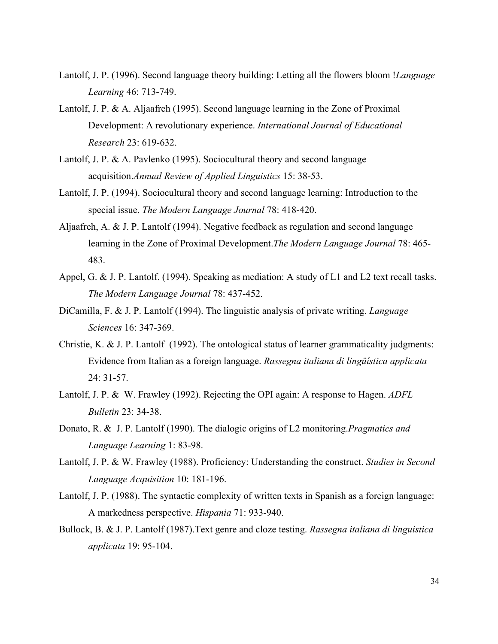- Lantolf, J. P. (1996). Second language theory building: Letting all the flowers bloom !*Language Learning* 46: 713-749.
- Lantolf, J. P. & A. Aljaafreh (1995). Second language learning in the Zone of Proximal Development: A revolutionary experience. *International Journal of Educational Research* 23: 619-632.
- Lantolf, J. P. & A. Pavlenko (1995). Sociocultural theory and second language acquisition.*Annual Review of Applied Linguistics* 15: 38-53.
- Lantolf, J. P. (1994). Sociocultural theory and second language learning: Introduction to the special issue. *The Modern Language Journal* 78: 418-420.
- Aljaafreh, A. & J. P. Lantolf (1994). Negative feedback as regulation and second language learning in the Zone of Proximal Development.*The Modern Language Journal* 78: 465- 483.
- Appel, G. & J. P. Lantolf. (1994). Speaking as mediation: A study of L1 and L2 text recall tasks. *The Modern Language Journal* 78: 437-452.
- DiCamilla, F. & J. P. Lantolf (1994). The linguistic analysis of private writing. *Language Sciences* 16: 347-369.
- Christie, K. & J. P. Lantolf (1992). The ontological status of learner grammaticality judgments: Evidence from Italian as a foreign language. *Rassegna italiana di lingüística applicata* 24: 31-57.
- Lantolf, J. P. & W. Frawley (1992). Rejecting the OPI again: A response to Hagen. *ADFL Bulletin* 23: 34-38.
- Donato, R. & J. P. Lantolf (1990). The dialogic origins of L2 monitoring.*Pragmatics and Language Learning* 1: 83-98.
- Lantolf, J. P. & W. Frawley (1988). Proficiency: Understanding the construct. *Studies in Second Language Acquisition* 10: 181-196.
- Lantolf, J. P. (1988). The syntactic complexity of written texts in Spanish as a foreign language: A markedness perspective. *Hispania* 71: 933-940.
- Bullock, B. & J. P. Lantolf (1987).Text genre and cloze testing. *Rassegna italiana di linguistica applicata* 19: 95-104.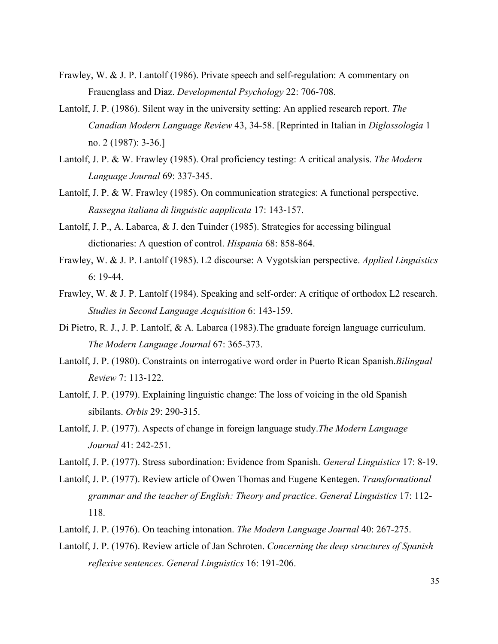- Frawley, W. & J. P. Lantolf (1986). Private speech and self-regulation: A commentary on Frauenglass and Diaz. *Developmental Psychology* 22: 706-708.
- Lantolf, J. P. (1986). Silent way in the university setting: An applied research report. *The Canadian Modern Language Review* 43, 34-58. [Reprinted in Italian in *Diglossologia* 1 no. 2 (1987): 3-36.]
- Lantolf, J. P. & W. Frawley (1985). Oral proficiency testing: A critical analysis. *The Modern Language Journal* 69: 337-345.
- Lantolf, J. P. & W. Frawley (1985). On communication strategies: A functional perspective. *Rassegna italiana di linguistic aapplicata* 17: 143-157.
- Lantolf, J. P., A. Labarca, & J. den Tuinder (1985). Strategies for accessing bilingual dictionaries: A question of control. *Hispania* 68: 858-864.
- Frawley, W. & J. P. Lantolf (1985). L2 discourse: A Vygotskian perspective. *Applied Linguistics* 6: 19-44.
- Frawley, W. & J. P. Lantolf (1984). Speaking and self-order: A critique of orthodox L2 research. *Studies in Second Language Acquisition* 6: 143-159.
- Di Pietro, R. J., J. P. Lantolf, & A. Labarca (1983). The graduate foreign language curriculum. *The Modern Language Journal* 67: 365-373.
- Lantolf, J. P. (1980). Constraints on interrogative word order in Puerto Rican Spanish.*Bilingual Review* 7: 113-122.
- Lantolf, J. P. (1979). Explaining linguistic change: The loss of voicing in the old Spanish sibilants. *Orbis* 29: 290-315.
- Lantolf, J. P. (1977). Aspects of change in foreign language study.*The Modern Language Journal* 41: 242-251.
- Lantolf, J. P. (1977). Stress subordination: Evidence from Spanish. *General Linguistics* 17: 8-19.
- Lantolf, J. P. (1977). Review article of Owen Thomas and Eugene Kentegen. *Transformational grammar and the teacher of English: Theory and practice*. *General Linguistics* 17: 112- 118.
- Lantolf, J. P. (1976). On teaching intonation. *The Modern Language Journal* 40: 267-275.
- Lantolf, J. P. (1976). Review article of Jan Schroten. *Concerning the deep structures of Spanish reflexive sentences*. *General Linguistics* 16: 191-206.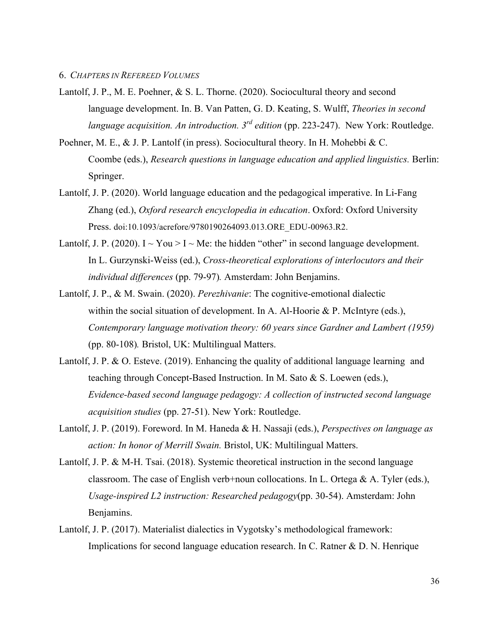- Lantolf, J. P., M. E. Poehner, & S. L. Thorne. (2020). Sociocultural theory and second language development. In. B. Van Patten, G. D. Keating, S. Wulff, *Theories in second language acquisition. An introduction. 3rd edition* (pp. 223-247). New York: Routledge.
- Poehner, M. E., & J. P. Lantolf (in press). Sociocultural theory. In H. Mohebbi & C. Coombe (eds.), *Research questions in language education and applied linguistics.* Berlin: Springer.
- Lantolf, J. P. (2020). World language education and the pedagogical imperative. In Li-Fang Zhang (ed.), *Oxford research encyclopedia in education*. Oxford: Oxford University Press. doi:10.1093/acrefore/9780190264093.013.ORE\_EDU-00963.R2.
- Lantolf, J. P. (2020).  $I \sim You > I \sim Me$ : the hidden "other" in second language development. In L. Gurzynski-Weiss (ed.), *Cross-theoretical explorations of interlocutors and their individual differences* (pp. 79-97)*.* Amsterdam: John Benjamins.
- Lantolf, J. P., & M. Swain. (2020). *Perezhivanie*: The cognitive-emotional dialectic within the social situation of development. In A. Al-Hoorie  $\&$  P. McIntyre (eds.), *Contemporary language motivation theory: 60 years since Gardner and Lambert (1959)* (pp. 80-108)*.* Bristol, UK: Multilingual Matters.
- Lantolf, J. P. & O. Esteve. (2019). Enhancing the quality of additional language learning and teaching through Concept-Based Instruction. In M. Sato & S. Loewen (eds.), *Evidence-based second language pedagogy: A collection of instructed second language acquisition studies* (pp. 27-51). New York: Routledge.
- Lantolf, J. P. (2019). Foreword. In M. Haneda & H. Nassaji (eds.), *Perspectives on language as action: In honor of Merrill Swain.* Bristol, UK: Multilingual Matters.
- Lantolf, J. P. & M-H. Tsai. (2018). Systemic theoretical instruction in the second language classroom. The case of English verb+noun collocations. In L. Ortega & A. Tyler (eds.), *Usage-inspired L2 instruction: Researched pedagogy*(pp. 30-54). Amsterdam: John Benjamins.
- Lantolf, J. P. (2017). Materialist dialectics in Vygotsky's methodological framework: Implications for second language education research. In C. Ratner & D. N. Henrique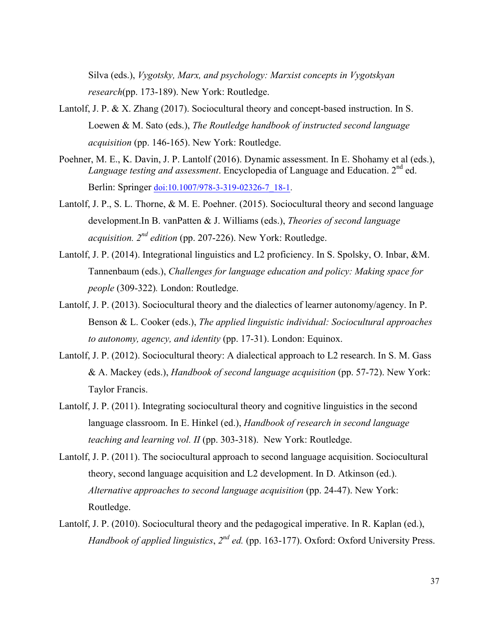Silva (eds.), *Vygotsky, Marx, and psychology: Marxist concepts in Vygotskyan research*(pp. 173-189). New York: Routledge.

- Lantolf, J. P. & X. Zhang (2017). Sociocultural theory and concept-based instruction. In S. Loewen & M. Sato (eds.), *The Routledge handbook of instructed second language acquisition* (pp. 146-165). New York: Routledge.
- Poehner, M. E., K. Davin, J. P. Lantolf (2016). Dynamic assessment. In E. Shohamy et al (eds.), *Language testing and assessment.* Encyclopedia of Language and Education. 2<sup>nd</sup> ed. Berlin: Springer doi:10.1007/978-3-319-02326-7\_18-1.
- Lantolf, J. P., S. L. Thorne, & M. E. Poehner. (2015). Sociocultural theory and second language development.In B. vanPatten & J. Williams (eds.), *Theories of second language acquisition. 2nd edition* (pp. 207-226). New York: Routledge.
- Lantolf, J. P. (2014). Integrational linguistics and L2 proficiency. In S. Spolsky, O. Inbar, &M. Tannenbaum (eds.), *Challenges for language education and policy: Making space for people* (309-322)*.* London: Routledge.
- Lantolf, J. P. (2013). Sociocultural theory and the dialectics of learner autonomy/agency. In P. Benson & L. Cooker (eds.), *The applied linguistic individual: Sociocultural approaches to autonomy, agency, and identity* (pp. 17-31). London: Equinox.
- Lantolf, J. P. (2012). Sociocultural theory: A dialectical approach to L2 research. In S. M. Gass & A. Mackey (eds.), *Handbook of second language acquisition* (pp. 57-72). New York: Taylor Francis.
- Lantolf, J. P. (2011). Integrating sociocultural theory and cognitive linguistics in the second language classroom. In E. Hinkel (ed.), *Handbook of research in second language teaching and learning vol. II* (pp. 303-318). New York: Routledge.
- Lantolf, J. P. (2011). The sociocultural approach to second language acquisition. Sociocultural theory, second language acquisition and L2 development. In D. Atkinson (ed.). *Alternative approaches to second language acquisition* (pp. 24-47). New York: Routledge.
- Lantolf, J. P. (2010). Sociocultural theory and the pedagogical imperative. In R. Kaplan (ed.), *Handbook of applied linguistics*, *2nd ed.* (pp. 163-177). Oxford: Oxford University Press.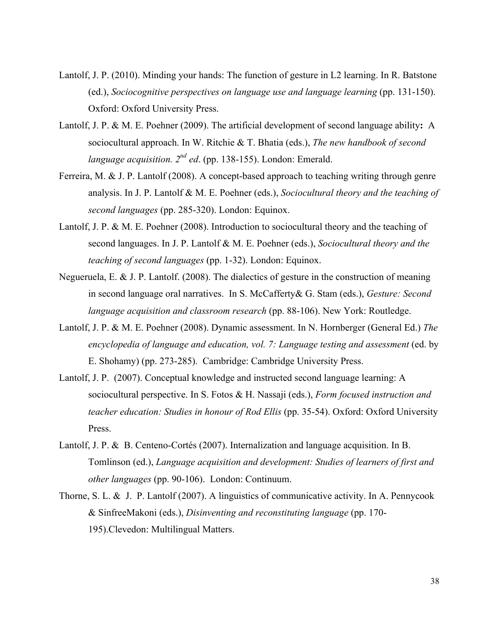- Lantolf, J. P. (2010). Minding your hands: The function of gesture in L2 learning. In R. Batstone (ed.), *Sociocognitive perspectives on language use and language learning* (pp. 131-150). Oxford: Oxford University Press.
- Lantolf, J. P. & M. E. Poehner (2009). The artificial development of second language ability**:** A sociocultural approach. In W. Ritchie & T. Bhatia (eds.), *The new handbook of second language acquisition. 2nd ed*. (pp. 138-155). London: Emerald.
- Ferreira, M. & J. P. Lantolf (2008). A concept-based approach to teaching writing through genre analysis. In J. P. Lantolf & M. E. Poehner (eds.), *Sociocultural theory and the teaching of second languages* (pp. 285-320). London: Equinox.
- Lantolf, J. P. & M. E. Poehner (2008). Introduction to sociocultural theory and the teaching of second languages. In J. P. Lantolf & M. E. Poehner (eds.), *Sociocultural theory and the teaching of second languages* (pp. 1-32). London: Equinox.
- Negueruela, E. & J. P. Lantolf. (2008). The dialectics of gesture in the construction of meaning in second language oral narratives. In S. McCafferty& G. Stam (eds.), *Gesture: Second language acquisition and classroom research* (pp. 88-106). New York: Routledge.
- Lantolf, J. P. & M. E. Poehner (2008). Dynamic assessment. In N. Hornberger (General Ed.) *The*  encyclopedia of language and education, vol. 7: Language testing and assessment (ed. by E. Shohamy) (pp. 273-285). Cambridge: Cambridge University Press.
- Lantolf, J. P. (2007). Conceptual knowledge and instructed second language learning: A sociocultural perspective. In S. Fotos & H. Nassaji (eds.), *Form focused instruction and teacher education: Studies in honour of Rod Ellis* (pp. 35-54). Oxford: Oxford University Press.
- Lantolf, J. P. & B. Centeno-Cortés (2007). Internalization and language acquisition. In B. Tomlinson (ed.), *Language acquisition and development: Studies of learners of first and other languages* (pp. 90-106). London: Continuum.
- Thorne, S. L. & J. P. Lantolf (2007). A linguistics of communicative activity. In A. Pennycook & SinfreeMakoni (eds.), *Disinventing and reconstituting language* (pp. 170- 195).Clevedon: Multilingual Matters.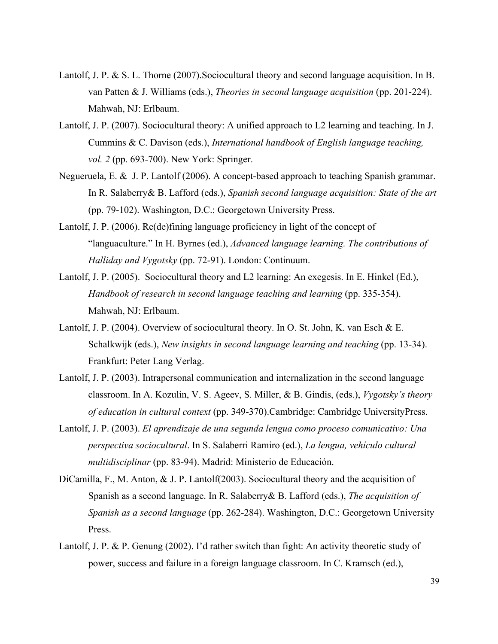- Lantolf, J. P. & S. L. Thorne (2007).Sociocultural theory and second language acquisition. In B. van Patten & J. Williams (eds.), *Theories in second language acquisition* (pp. 201-224). Mahwah, NJ: Erlbaum.
- Lantolf, J. P. (2007). Sociocultural theory: A unified approach to L2 learning and teaching. In J. Cummins & C. Davison (eds.), *International handbook of English language teaching, vol. 2* (pp. 693-700). New York: Springer.
- Negueruela, E. & J. P. Lantolf (2006). A concept-based approach to teaching Spanish grammar. In R. Salaberry& B. Lafford (eds.), *Spanish second language acquisition: State of the art* (pp. 79-102). Washington, D.C.: Georgetown University Press.
- Lantolf, J. P. (2006). Re(de)fining language proficiency in light of the concept of "languaculture." In H. Byrnes (ed.), *Advanced language learning. The contributions of Halliday and Vygotsky* (pp. 72-91). London: Continuum.
- Lantolf, J. P. (2005). Sociocultural theory and L2 learning: An exegesis. In E. Hinkel (Ed.), *Handbook of research in second language teaching and learning* (pp. 335-354). Mahwah, NJ: Erlbaum.
- Lantolf, J. P. (2004). Overview of sociocultural theory. In O. St. John, K. van Esch & E. Schalkwijk (eds.), *New insights in second language learning and teaching* (pp. 13-34). Frankfurt: Peter Lang Verlag.
- Lantolf, J. P. (2003). Intrapersonal communication and internalization in the second language classroom. In A. Kozulin, V. S. Ageev, S. Miller, & B. Gindis, (eds.), *Vygotsky's theory of education in cultural context* (pp. 349-370).Cambridge: Cambridge UniversityPress.
- Lantolf, J. P. (2003). *El aprendizaje de una segunda lengua como proceso comunicativo: Una perspectiva sociocultural*. In S. Salaberri Ramiro (ed.), *La lengua, vehículo cultural multidisciplinar* (pp. 83-94). Madrid: Ministerio de Educación.
- DiCamilla, F., M. Anton, & J. P. Lantolf(2003). Sociocultural theory and the acquisition of Spanish as a second language. In R. Salaberry& B. Lafford (eds.), *The acquisition of Spanish as a second language* (pp. 262-284). Washington, D.C.: Georgetown University Press.
- Lantolf, J. P. & P. Genung (2002). I'd rather switch than fight: An activity theoretic study of power, success and failure in a foreign language classroom. In C. Kramsch (ed.),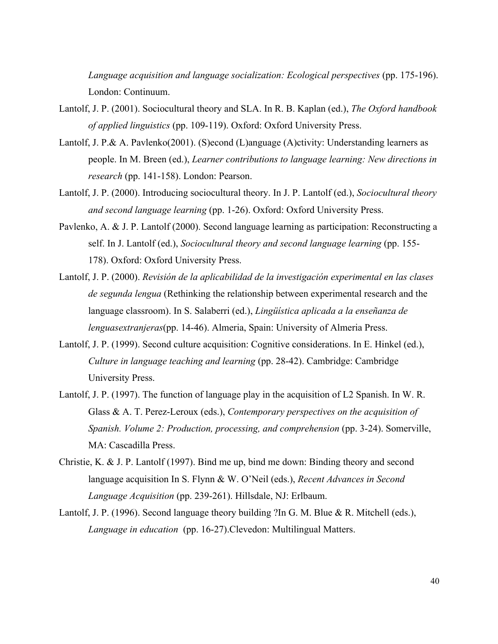*Language acquisition and language socialization: Ecological perspectives* (pp. 175-196). London: Continuum.

- Lantolf, J. P. (2001). Sociocultural theory and SLA. In R. B. Kaplan (ed.), *The Oxford handbook of applied linguistics* (pp. 109-119). Oxford: Oxford University Press.
- Lantolf, J. P.& A. Pavlenko(2001). (S)econd (L)anguage (A)ctivity: Understanding learners as people. In M. Breen (ed.), *Learner contributions to language learning: New directions in research* (pp. 141-158). London: Pearson.
- Lantolf, J. P. (2000). Introducing sociocultural theory. In J. P. Lantolf (ed.), *Sociocultural theory and second language learning* (pp. 1-26). Oxford: Oxford University Press.
- Pavlenko, A. & J. P. Lantolf (2000). Second language learning as participation: Reconstructing a self. In J. Lantolf (ed.), *Sociocultural theory and second language learning* (pp. 155- 178). Oxford: Oxford University Press.
- Lantolf, J. P. (2000). *Revisión de la aplicabilidad de la investigación experimental en las clases de segunda lengua* (Rethinking the relationship between experimental research and the language classroom). In S. Salaberri (ed.), *Lingüística aplicada a la enseñanza de lenguasextranjeras*(pp. 14-46). Almeria, Spain: University of Almeria Press.
- Lantolf, J. P. (1999). Second culture acquisition: Cognitive considerations. In E. Hinkel (ed.), *Culture in language teaching and learning* (pp. 28-42). Cambridge: Cambridge University Press.
- Lantolf, J. P. (1997). The function of language play in the acquisition of L2 Spanish. In W. R. Glass & A. T. Perez-Leroux (eds.), *Contemporary perspectives on the acquisition of Spanish. Volume 2: Production, processing, and comprehension* (pp. 3-24). Somerville, MA: Cascadilla Press.
- Christie, K. & J. P. Lantolf (1997). Bind me up, bind me down: Binding theory and second language acquisition In S. Flynn & W. O'Neil (eds.), *Recent Advances in Second Language Acquisition* (pp. 239-261). Hillsdale, NJ: Erlbaum.
- Lantolf, J. P. (1996). Second language theory building ?In G. M. Blue & R. Mitchell (eds.), *Language in education* (pp. 16-27).Clevedon: Multilingual Matters.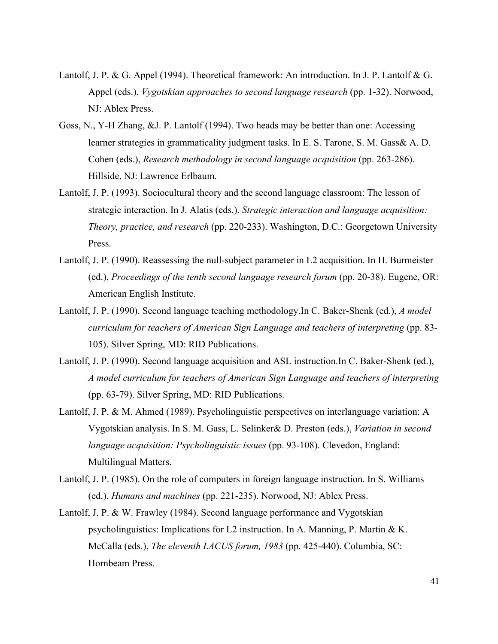- Lantolf, J. P. & G. Appel (1994). Theoretical framework: An introduction. In J. P. Lantolf & G. Appel (eds.), *Vygotskian approaches to second language research* (pp. 1-32). Norwood, NJ: Ablex Press.
- Goss, N., Y-H Zhang, &J. P. Lantolf (1994). Two heads may be better than one: Accessing learner strategies in grammaticality judgment tasks. In E. S. Tarone, S. M. Gass& A. D. Cohen (eds.), *Research methodology in second language acquisition* (pp. 263-286). Hillside, NJ: Lawrence Erlbaum.
- Lantolf, J. P. (1993). Sociocultural theory and the second language classroom: The lesson of strategic interaction. In J. Alatis (eds.), *Strategic interaction and language acquisition: Theory, practice, and research* (pp. 220-233). Washington, D.C.: Georgetown University Press.
- Lantolf, J. P. (1990). Reassessing the null-subject parameter in L2 acquisition. In H. Burmeister (ed.), *Proceedings of the tenth second language research forum* (pp. 20-38). Eugene, OR: American English Institute.
- Lantolf, J. P. (1990). Second language teaching methodology.In C. Baker-Shenk (ed.), *A model curriculum for teachers of American Sign Language and teachers of interpreting* (pp. 83- 105). Silver Spring, MD: RID Publications.
- Lantolf, J. P. (1990). Second language acquisition and ASL instruction.In C. Baker-Shenk (ed.), *A model curriculum for teachers of American Sign Language and teachers of interpreting* (pp. 63-79). Silver Spring, MD: RID Publications.
- Lantolf, J. P. & M. Ahmed (1989). Psycholinguistic perspectives on interlanguage variation: A Vygotskian analysis. In S. M. Gass, L. Selinker& D. Preston (eds.), *Variation in second language acquisition: Psycholinguistic issues* (pp. 93-108). Clevedon, England: Multilingual Matters.
- Lantolf, J. P. (1985). On the role of computers in foreign language instruction. In S. Williams (ed.), *Humans and machines* (pp. 221-235). Norwood, NJ: Ablex Press.
- Lantolf, J. P. & W. Frawley (1984). Second language performance and Vygotskian psycholinguistics: Implications for L2 instruction. In A. Manning, P. Martin & K. McCalla (eds.), *The eleventh LACUS forum, 1983* (pp. 425-440). Columbia, SC: Hornbeam Press.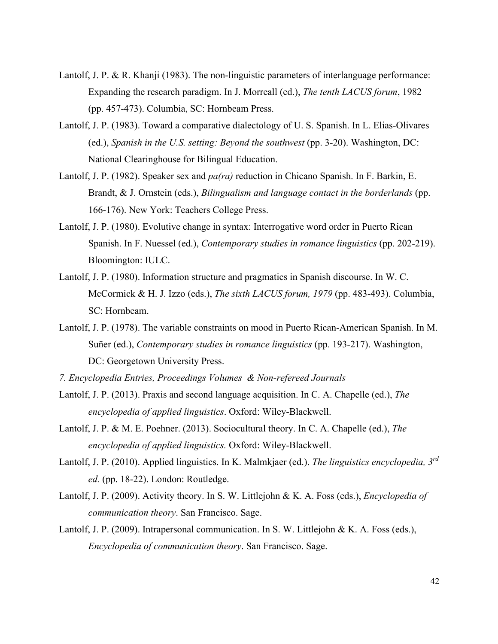- Lantolf, J. P. & R. Khanji (1983). The non-linguistic parameters of interlanguage performance: Expanding the research paradigm. In J. Morreall (ed.), *The tenth LACUS forum*, 1982 (pp. 457-473). Columbia, SC: Hornbeam Press.
- Lantolf, J. P. (1983). Toward a comparative dialectology of U. S. Spanish. In L. Elias-Olivares (ed.), *Spanish in the U.S. setting: Beyond the southwest* (pp. 3-20). Washington, DC: National Clearinghouse for Bilingual Education.
- Lantolf, J. P. (1982). Speaker sex and *pa(ra)* reduction in Chicano Spanish. In F. Barkin, E. Brandt, & J. Ornstein (eds.), *Bilingualism and language contact in the borderlands* (pp. 166-176). New York: Teachers College Press.
- Lantolf, J. P. (1980). Evolutive change in syntax: Interrogative word order in Puerto Rican Spanish. In F. Nuessel (ed.), *Contemporary studies in romance linguistics* (pp. 202-219). Bloomington: IULC.
- Lantolf, J. P. (1980). Information structure and pragmatics in Spanish discourse. In W. C. McCormick & H. J. Izzo (eds.), *The sixth LACUS forum, 1979* (pp. 483-493). Columbia, SC: Hornbeam.
- Lantolf, J. P. (1978). The variable constraints on mood in Puerto Rican-American Spanish. In M. Suñer (ed.), *Contemporary studies in romance linguistics* (pp. 193-217). Washington, DC: Georgetown University Press.
- *7. Encyclopedia Entries, Proceedings Volumes & Non-refereed Journals*
- Lantolf, J. P. (2013). Praxis and second language acquisition. In C. A. Chapelle (ed.), *The encyclopedia of applied linguistics*. Oxford: Wiley-Blackwell.
- Lantolf, J. P. & M. E. Poehner. (2013). Sociocultural theory. In C. A. Chapelle (ed.), *The encyclopedia of applied linguistics.* Oxford: Wiley-Blackwell.
- Lantolf, J. P. (2010). Applied linguistics. In K. Malmkjaer (ed.). *The linguistics encyclopedia, 3rd ed.* (pp. 18-22). London: Routledge.
- Lantolf, J. P. (2009). Activity theory. In S. W. Littlejohn & K. A. Foss (eds.), *Encyclopedia of communication theory*. San Francisco. Sage.
- Lantolf, J. P. (2009). Intrapersonal communication. In S. W. Littlejohn & K. A. Foss (eds.), *Encyclopedia of communication theory*. San Francisco. Sage.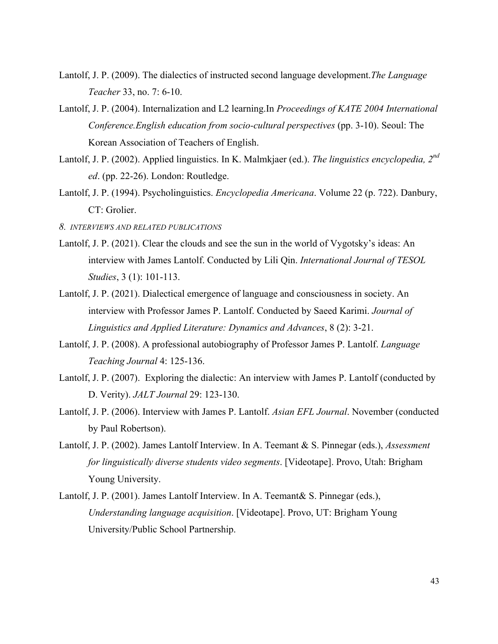- Lantolf, J. P. (2009). The dialectics of instructed second language development.*The Language Teacher* 33, no. 7: 6-10.
- Lantolf, J. P. (2004). Internalization and L2 learning.In *Proceedings of KATE 2004 International Conference.English education from socio-cultural perspectives* (pp. 3-10). Seoul: The Korean Association of Teachers of English.
- Lantolf, J. P. (2002). Applied linguistics. In K. Malmkjaer (ed.). *The linguistics encyclopedia, 2nd ed*. (pp. 22-26). London: Routledge.
- Lantolf, J. P. (1994). Psycholinguistics. *Encyclopedia Americana*. Volume 22 (p. 722). Danbury, CT: Grolier.
- *8. INTERVIEWS AND RELATED PUBLICATIONS*
- Lantolf, J. P. (2021). Clear the clouds and see the sun in the world of Vygotsky's ideas: An interview with James Lantolf. Conducted by Lili Qin. *International Journal of TESOL Studies*, 3 (1): 101-113.
- Lantolf, J. P. (2021). Dialectical emergence of language and consciousness in society. An interview with Professor James P. Lantolf. Conducted by Saeed Karimi. *Journal of Linguistics and Applied Literature: Dynamics and Advances*, 8 (2): 3-21.
- Lantolf, J. P. (2008). A professional autobiography of Professor James P. Lantolf. *Language Teaching Journal* 4: 125-136.
- Lantolf, J. P. (2007). Exploring the dialectic: An interview with James P. Lantolf (conducted by D. Verity). *JALT Journal* 29: 123-130.
- Lantolf, J. P. (2006). Interview with James P. Lantolf. *Asian EFL Journal*. November (conducted by Paul Robertson).
- Lantolf, J. P. (2002). James Lantolf Interview. In A. Teemant & S. Pinnegar (eds.), *Assessment for linguistically diverse students video segments*. [Videotape]. Provo, Utah: Brigham Young University.
- Lantolf, J. P. (2001). James Lantolf Interview. In A. Teemant& S. Pinnegar (eds.), *Understanding language acquisition*. [Videotape]. Provo, UT: Brigham Young University/Public School Partnership.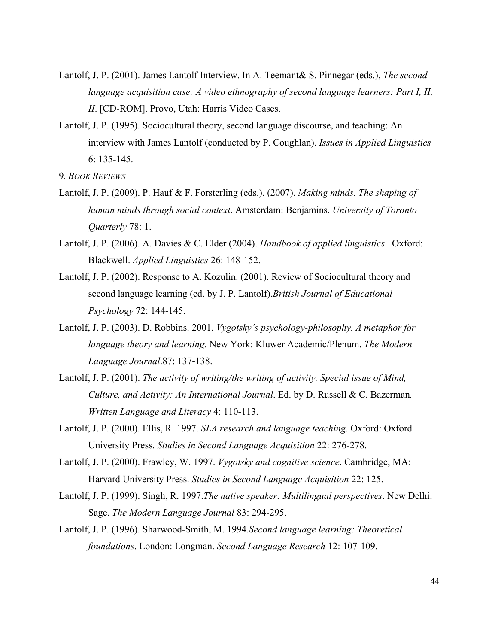- Lantolf, J. P. (2001). James Lantolf Interview. In A. Teemant& S. Pinnegar (eds.), *The second language acquisition case: A video ethnography of second language learners: Part I, II, II*. [CD-ROM]. Provo, Utah: Harris Video Cases.
- Lantolf, J. P. (1995). Sociocultural theory, second language discourse, and teaching: An interview with James Lantolf (conducted by P. Coughlan). *Issues in Applied Linguistics* 6: 135-145.

9*. BOOK REVIEWS* 

- Lantolf, J. P. (2009). P. Hauf & F. Forsterling (eds.). (2007). *Making minds. The shaping of human minds through social context*. Amsterdam: Benjamins. *University of Toronto Quarterly* 78: 1.
- Lantolf, J. P. (2006). A. Davies & C. Elder (2004). *Handbook of applied linguistics*. Oxford: Blackwell. *Applied Linguistics* 26: 148-152.
- Lantolf, J. P. (2002). Response to A. Kozulin. (2001). Review of Sociocultural theory and second language learning (ed. by J. P. Lantolf).*British Journal of Educational Psychology* 72: 144-145.
- Lantolf, J. P. (2003). D. Robbins. 2001. *Vygotsky's psychology-philosophy. A metaphor for language theory and learning*. New York: Kluwer Academic/Plenum. *The Modern Language Journal*.87: 137-138.
- Lantolf, J. P. (2001). *The activity of writing/the writing of activity. Special issue of Mind, Culture, and Activity: An International Journal*. Ed. by D. Russell & C. Bazerman*. Written Language and Literacy* 4: 110-113.
- Lantolf, J. P. (2000). Ellis, R. 1997. *SLA research and language teaching*. Oxford: Oxford University Press. *Studies in Second Language Acquisition* 22: 276-278.
- Lantolf, J. P. (2000). Frawley, W. 1997. *Vygotsky and cognitive science*. Cambridge, MA: Harvard University Press. *Studies in Second Language Acquisition* 22: 125.
- Lantolf, J. P. (1999). Singh, R. 1997.*The native speaker: Multilingual perspectives*. New Delhi: Sage. *The Modern Language Journal* 83: 294-295.
- Lantolf, J. P. (1996). Sharwood-Smith, M. 1994.*Second language learning: Theoretical foundations*. London: Longman. *Second Language Research* 12: 107-109.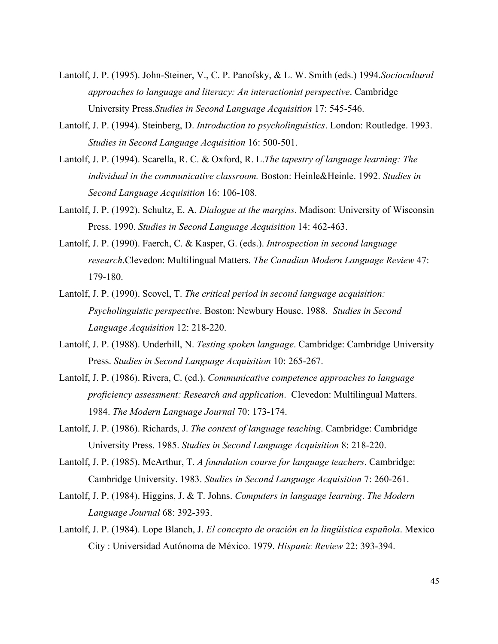- Lantolf, J. P. (1995). John-Steiner, V., C. P. Panofsky, & L. W. Smith (eds.) 1994.*Sociocultural approaches to language and literacy: An interactionist perspective*. Cambridge University Press.*Studies in Second Language Acquisition* 17: 545-546.
- Lantolf, J. P. (1994). Steinberg, D. *Introduction to psycholinguistics*. London: Routledge. 1993. *Studies in Second Language Acquisition* 16: 500-501.
- Lantolf, J. P. (1994). Scarella, R. C. & Oxford, R. L.*The tapestry of language learning: The individual in the communicative classroom.* Boston: Heinle&Heinle. 1992. *Studies in Second Language Acquisition* 16: 106-108.
- Lantolf, J. P. (1992). Schultz, E. A. *Dialogue at the margins*. Madison: University of Wisconsin Press. 1990. *Studies in Second Language Acquisition* 14: 462-463.
- Lantolf, J. P. (1990). Faerch, C. & Kasper, G. (eds.). *Introspection in second language research*.Clevedon: Multilingual Matters. *The Canadian Modern Language Review* 47: 179-180.
- Lantolf, J. P. (1990). Scovel, T. *The critical period in second language acquisition: Psycholinguistic perspective*. Boston: Newbury House. 1988. *Studies in Second Language Acquisition* 12: 218-220.
- Lantolf, J. P. (1988). Underhill, N. *Testing spoken language*. Cambridge: Cambridge University Press. *Studies in Second Language Acquisition* 10: 265-267.
- Lantolf, J. P. (1986). Rivera, C. (ed.). *Communicative competence approaches to language proficiency assessment: Research and application*. Clevedon: Multilingual Matters. 1984. *The Modern Language Journal* 70: 173-174.
- Lantolf, J. P. (1986). Richards, J. *The context of language teaching*. Cambridge: Cambridge University Press. 1985. *Studies in Second Language Acquisition* 8: 218-220.
- Lantolf, J. P. (1985). McArthur, T. *A foundation course for language teachers*. Cambridge: Cambridge University. 1983. *Studies in Second Language Acquisition* 7: 260-261.
- Lantolf, J. P. (1984). Higgins, J. & T. Johns. *Computers in language learning*. *The Modern Language Journal* 68: 392-393.
- Lantolf, J. P. (1984). Lope Blanch, J. *El concepto de oración en la lingüística española*. Mexico City : Universidad Autónoma de México. 1979. *Hispanic Review* 22: 393-394.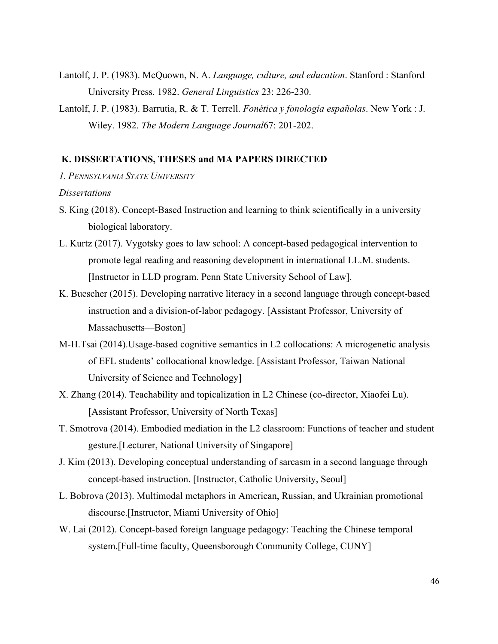- Lantolf, J. P. (1983). McQuown, N. A. *Language, culture, and education*. Stanford : Stanford University Press. 1982. *General Linguistics* 23: 226-230.
- Lantolf, J. P. (1983). Barrutia, R. & T. Terrell. *Fonética y fonología españolas*. New York : J. Wiley. 1982. *The Modern Language Journal*67: 201-202.

### **K. DISSERTATIONS, THESES and MA PAPERS DIRECTED**

*1. PENNSYLVANIA STATE UNIVERSITY*

#### *Dissertations*

- S. King (2018). Concept-Based Instruction and learning to think scientifically in a university biological laboratory.
- L. Kurtz (2017). Vygotsky goes to law school: A concept-based pedagogical intervention to promote legal reading and reasoning development in international LL.M. students. [Instructor in LLD program. Penn State University School of Law].
- K. Buescher (2015). Developing narrative literacy in a second language through concept-based instruction and a division-of-labor pedagogy. [Assistant Professor, University of Massachusetts—Boston]
- M-H.Tsai (2014).Usage-based cognitive semantics in L2 collocations: A microgenetic analysis of EFL students' collocational knowledge. [Assistant Professor, Taiwan National University of Science and Technology]
- X. Zhang (2014). Teachability and topicalization in L2 Chinese (co-director, Xiaofei Lu). [Assistant Professor, University of North Texas]
- T. Smotrova (2014). Embodied mediation in the L2 classroom: Functions of teacher and student gesture.[Lecturer, National University of Singapore]
- J. Kim (2013). Developing conceptual understanding of sarcasm in a second language through concept-based instruction. [Instructor, Catholic University, Seoul]
- L. Bobrova (2013). Multimodal metaphors in American, Russian, and Ukrainian promotional discourse.[Instructor, Miami University of Ohio]
- W. Lai (2012). Concept-based foreign language pedagogy: Teaching the Chinese temporal system.[Full-time faculty, Queensborough Community College, CUNY]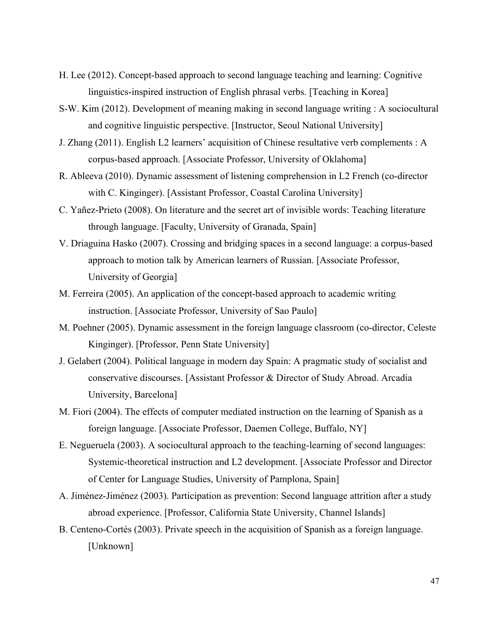- H. Lee (2012). Concept-based approach to second language teaching and learning: Cognitive linguistics-inspired instruction of English phrasal verbs. [Teaching in Korea]
- S-W. Kim (2012). Development of meaning making in second language writing : A sociocultural and cognitive linguistic perspective. [Instructor, Seoul National University]
- J. Zhang (2011). English L2 learners' acquisition of Chinese resultative verb complements : A corpus-based approach. [Associate Professor, University of Oklahoma]
- R. Ableeva (2010). Dynamic assessment of listening comprehension in L2 French (co-director with C. Kinginger). [Assistant Professor, Coastal Carolina University]
- C. Yañez-Prieto (2008). On literature and the secret art of invisible words: Teaching literature through language. [Faculty, University of Granada, Spain]
- V. Driaguina Hasko (2007). Crossing and bridging spaces in a second language: a corpus-based approach to motion talk by American learners of Russian. [Associate Professor, University of Georgia]
- M. Ferreira (2005). An application of the concept-based approach to academic writing instruction. [Associate Professor, University of Sao Paulo]
- M. Poehner (2005). Dynamic assessment in the foreign language classroom (co-director, Celeste Kinginger). [Professor, Penn State University]
- J. Gelabert (2004). Political language in modern day Spain: A pragmatic study of socialist and conservative discourses. [Assistant Professor & Director of Study Abroad. Arcadia University, Barcelona]
- M. Fiori (2004). The effects of computer mediated instruction on the learning of Spanish as a foreign language. [Associate Professor, Daemen College, Buffalo, NY]
- E. Negueruela (2003). A sociocultural approach to the teaching-learning of second languages: Systemic-theoretical instruction and L2 development. [Associate Professor and Director of Center for Language Studies, University of Pamplona, Spain]
- A. Jiménez-Jiménez (2003). Participation as prevention: Second language attrition after a study abroad experience. [Professor, California State University, Channel Islands]
- B. Centeno-Cortés (2003). Private speech in the acquisition of Spanish as a foreign language. [Unknown]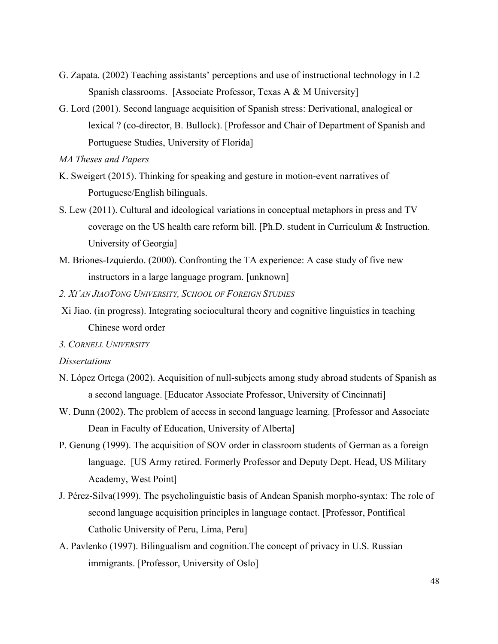- G. Zapata. (2002) Teaching assistants' perceptions and use of instructional technology in L2 Spanish classrooms. [Associate Professor, Texas A & M University]
- G. Lord (2001). Second language acquisition of Spanish stress: Derivational, analogical or lexical ? (co-director, B. Bullock). [Professor and Chair of Department of Spanish and Portuguese Studies, University of Florida]
- *MA Theses and Papers*
- K. Sweigert (2015). Thinking for speaking and gesture in motion-event narratives of Portuguese/English bilinguals.
- S. Lew (2011). Cultural and ideological variations in conceptual metaphors in press and TV coverage on the US health care reform bill. [Ph.D. student in Curriculum & Instruction. University of Georgia]
- M. Briones-Izquierdo. (2000). Confronting the TA experience: A case study of five new instructors in a large language program. [unknown]
- *2. XI'AN JIAOTONG UNIVERSITY, SCHOOL OF FOREIGN STUDIES*
- Xi Jiao. (in progress). Integrating sociocultural theory and cognitive linguistics in teaching Chinese word order
- *3. CORNELL UNIVERSITY*

#### *Dissertations*

- N. López Ortega (2002). Acquisition of null-subjects among study abroad students of Spanish as a second language. [Educator Associate Professor, University of Cincinnati]
- W. Dunn (2002). The problem of access in second language learning. [Professor and Associate] Dean in Faculty of Education, University of Alberta]
- P. Genung (1999). The acquisition of SOV order in classroom students of German as a foreign language. [US Army retired. Formerly Professor and Deputy Dept. Head, US Military Academy, West Point]
- J. Pérez-Silva(1999). The psycholinguistic basis of Andean Spanish morpho-syntax: The role of second language acquisition principles in language contact. [Professor, Pontifical Catholic University of Peru, Lima, Peru]
- A. Pavlenko (1997). Bilingualism and cognition.The concept of privacy in U.S. Russian immigrants. [Professor, University of Oslo]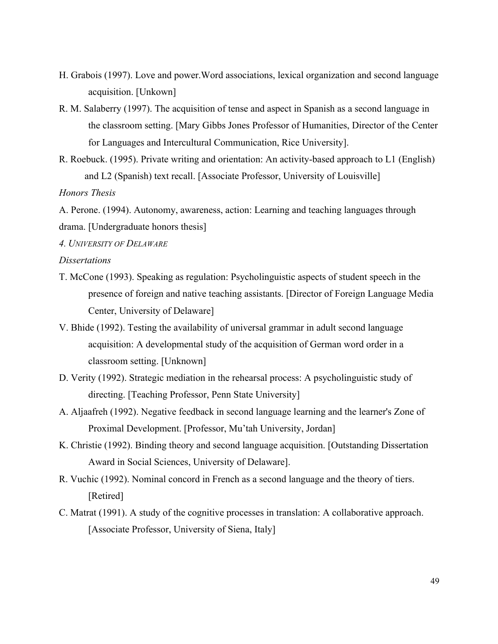- H. Grabois (1997). Love and power.Word associations, lexical organization and second language acquisition. [Unkown]
- R. M. Salaberry (1997). The acquisition of tense and aspect in Spanish as a second language in the classroom setting. [Mary Gibbs Jones Professor of Humanities, Director of the Center for Languages and Intercultural Communication, Rice University].
- R. Roebuck. (1995). Private writing and orientation: An activity-based approach to L1 (English) and L2 (Spanish) text recall. [Associate Professor, University of Louisville] *Honors Thesis*

A. Perone. (1994). Autonomy, awareness, action: Learning and teaching languages through drama. [Undergraduate honors thesis]

*4. UNIVERSITY OF DELAWARE*

### *Dissertations*

- T. McCone (1993). Speaking as regulation: Psycholinguistic aspects of student speech in the presence of foreign and native teaching assistants. [Director of Foreign Language Media Center, University of Delaware]
- V. Bhide (1992). Testing the availability of universal grammar in adult second language acquisition: A developmental study of the acquisition of German word order in a classroom setting. [Unknown]
- D. Verity (1992). Strategic mediation in the rehearsal process: A psycholinguistic study of directing. [Teaching Professor, Penn State University]
- A. Aljaafreh (1992). Negative feedback in second language learning and the learner's Zone of Proximal Development. [Professor, Mu'tah University, Jordan]
- K. Christie (1992). Binding theory and second language acquisition. [Outstanding Dissertation Award in Social Sciences, University of Delaware].
- R. Vuchic (1992). Nominal concord in French as a second language and the theory of tiers. [Retired]
- C. Matrat (1991). A study of the cognitive processes in translation: A collaborative approach. [Associate Professor, University of Siena, Italy]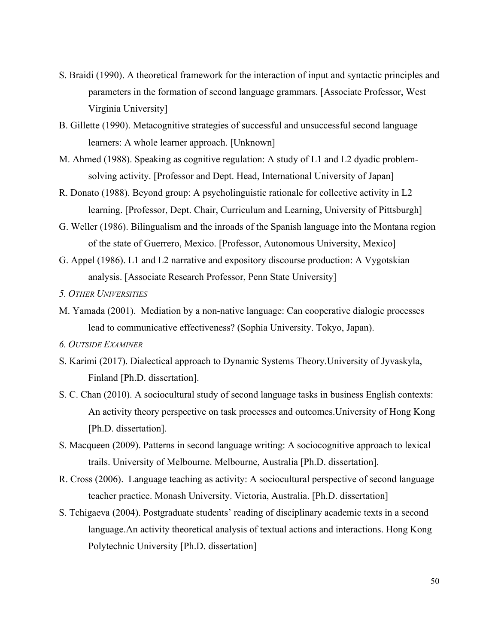- S. Braidi (1990). A theoretical framework for the interaction of input and syntactic principles and parameters in the formation of second language grammars. [Associate Professor, West Virginia University]
- B. Gillette (1990). Metacognitive strategies of successful and unsuccessful second language learners: A whole learner approach. [Unknown]
- M. Ahmed (1988). Speaking as cognitive regulation: A study of L1 and L2 dyadic problemsolving activity. [Professor and Dept. Head, International University of Japan]
- R. Donato (1988). Beyond group: A psycholinguistic rationale for collective activity in L2 learning. [Professor, Dept. Chair, Curriculum and Learning, University of Pittsburgh]
- G. Weller (1986). Bilingualism and the inroads of the Spanish language into the Montana region of the state of Guerrero, Mexico. [Professor, Autonomous University, Mexico]
- G. Appel (1986). L1 and L2 narrative and expository discourse production: A Vygotskian analysis. [Associate Research Professor, Penn State University]
- *5. OTHER UNIVERSITIES*
- M. Yamada (2001). Mediation by a non-native language: Can cooperative dialogic processes lead to communicative effectiveness? (Sophia University. Tokyo, Japan).
- *6. OUTSIDE EXAMINER*
- S. Karimi (2017). Dialectical approach to Dynamic Systems Theory.University of Jyvaskyla, Finland [Ph.D. dissertation].
- S. C. Chan (2010). A sociocultural study of second language tasks in business English contexts: An activity theory perspective on task processes and outcomes.University of Hong Kong [Ph.D. dissertation].
- S. Macqueen (2009). Patterns in second language writing: A sociocognitive approach to lexical trails. University of Melbourne. Melbourne, Australia [Ph.D. dissertation].
- R. Cross (2006). Language teaching as activity: A sociocultural perspective of second language teacher practice. Monash University. Victoria, Australia. [Ph.D. dissertation]
- S. Tchigaeva (2004). Postgraduate students' reading of disciplinary academic texts in a second language.An activity theoretical analysis of textual actions and interactions. Hong Kong Polytechnic University [Ph.D. dissertation]